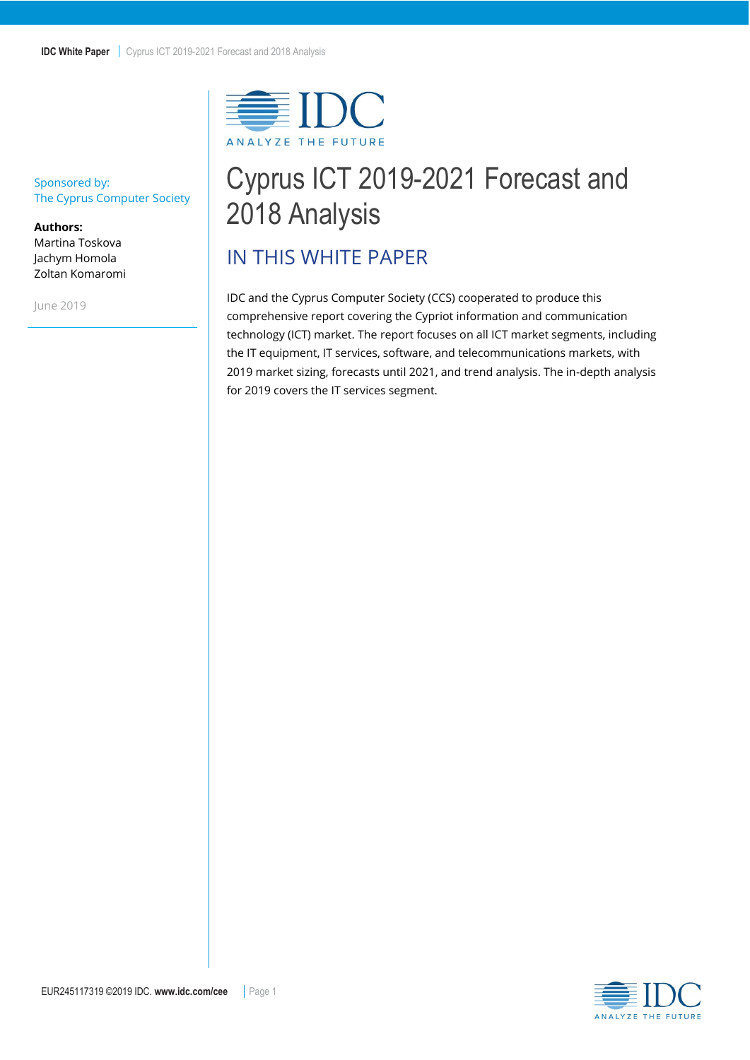

# Cyprus ICT 2019-2021 Forecast and 2018 Analysis

## <span id="page-0-0"></span>IN THIS WHITE PAPER

IDC and the Cyprus Computer Society (CCS) cooperated to produce this comprehensive report covering the Cypriot information and communication technology (ICT) market. The report focuses on all ICT market segments, including the IT equipment, IT services, software, and telecommunications markets, with 2019 market sizing, forecasts until 2021, and trend analysis. The in-depth analysis for 2019 covers the IT services segment.

#### Sponsored by: The Cyprus Computer Society

**Authors:** Martina Toskova Jachym Homola Zoltan Komaromi

June 2019

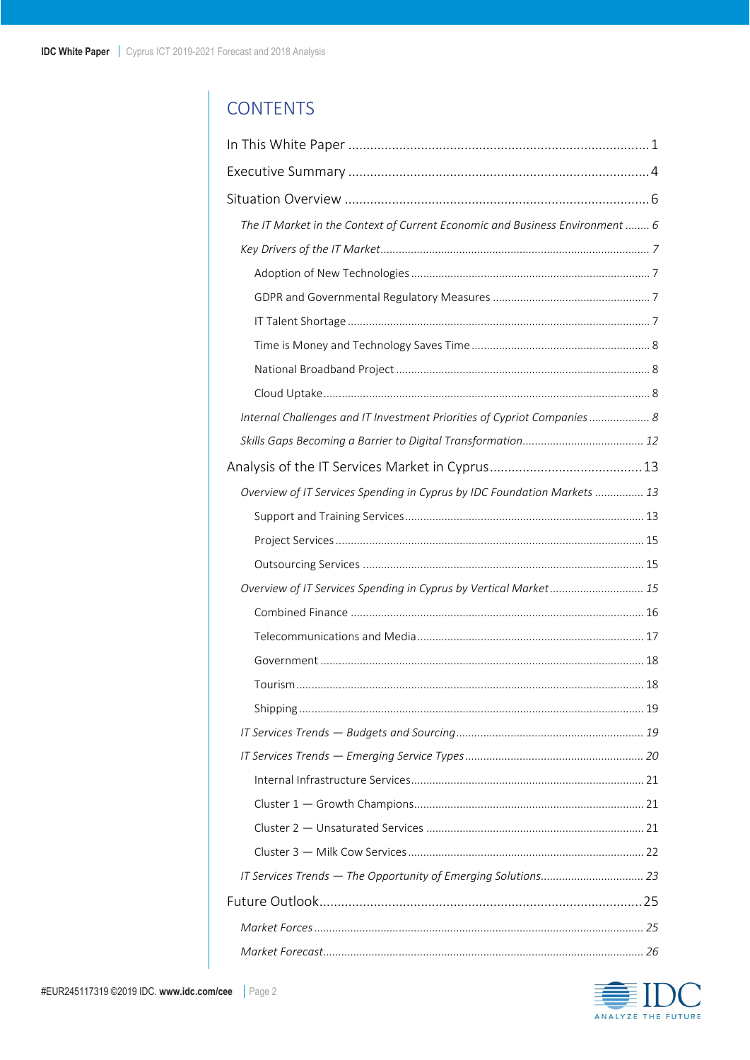## **CONTENTS**

| The IT Market in the Context of Current Economic and Business Environment  6 |
|------------------------------------------------------------------------------|
|                                                                              |
|                                                                              |
|                                                                              |
|                                                                              |
|                                                                              |
|                                                                              |
|                                                                              |
| Internal Challenges and IT Investment Priorities of Cypriot Companies 8      |
|                                                                              |
|                                                                              |
| Overview of IT Services Spending in Cyprus by IDC Foundation Markets  13     |
|                                                                              |
|                                                                              |
|                                                                              |
| Overview of IT Services Spending in Cyprus by Vertical Market 15             |
|                                                                              |
|                                                                              |
|                                                                              |
|                                                                              |
|                                                                              |
|                                                                              |
|                                                                              |
|                                                                              |
|                                                                              |
|                                                                              |
|                                                                              |
|                                                                              |
|                                                                              |
|                                                                              |
|                                                                              |

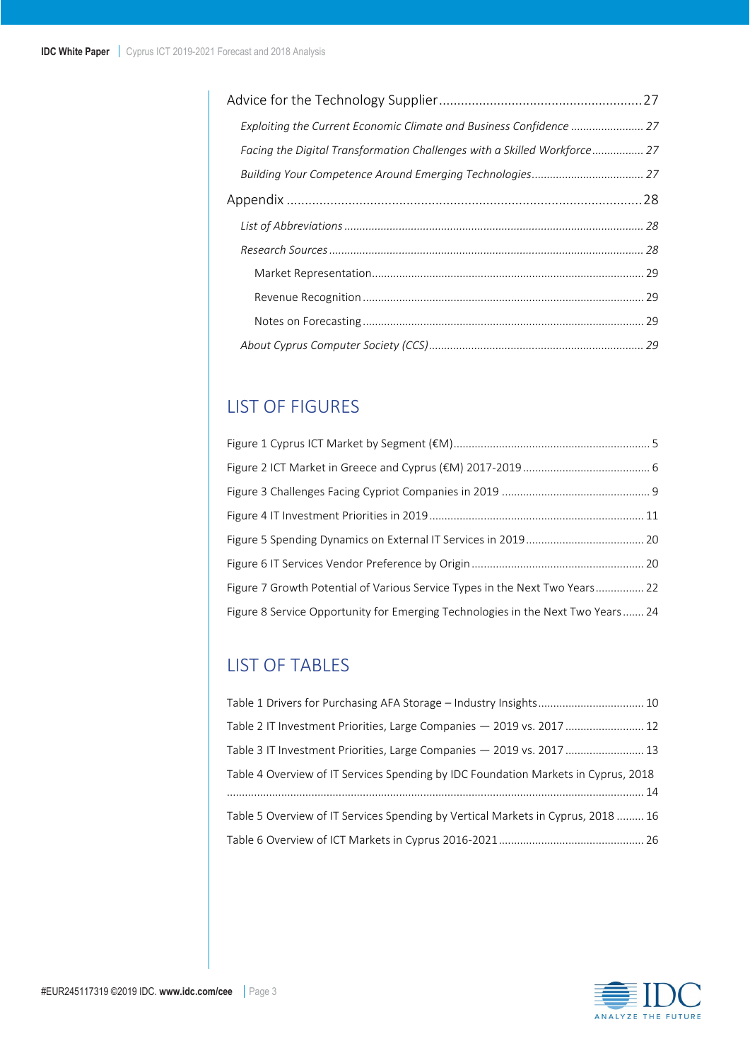| Exploiting the Current Economic Climate and Business Confidence  27      |
|--------------------------------------------------------------------------|
| Facing the Digital Transformation Challenges with a Skilled Workforce 27 |
|                                                                          |
|                                                                          |
|                                                                          |
|                                                                          |
|                                                                          |
|                                                                          |
|                                                                          |
|                                                                          |

## LIST OF FIGURES

| Figure 7 Growth Potential of Various Service Types in the Next Two Years 22     |  |
|---------------------------------------------------------------------------------|--|
| Figure 8 Service Opportunity for Emerging Technologies in the Next Two Years 24 |  |

## LIST OF TABLES

| Table 1 Drivers for Purchasing AFA Storage - Industry Insights 10                  |  |
|------------------------------------------------------------------------------------|--|
| Table 2 IT Investment Priorities, Large Companies - 2019 vs. 2017  12              |  |
| Table 3 IT Investment Priorities, Large Companies - 2019 vs. 2017  13              |  |
| Table 4 Overview of IT Services Spending by IDC Foundation Markets in Cyprus, 2018 |  |
|                                                                                    |  |
| Table 5 Overview of IT Services Spending by Vertical Markets in Cyprus, 2018  16   |  |
|                                                                                    |  |

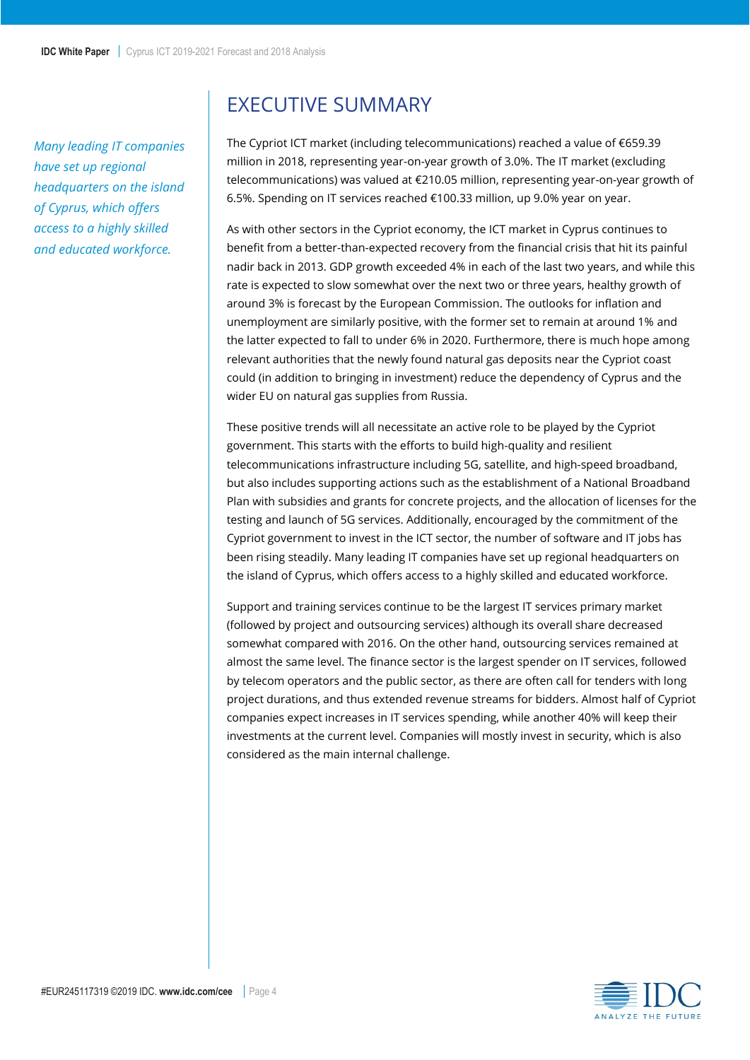*Many leading IT companies have set up regional headquarters on the island of Cyprus, which offers access to a highly skilled and educated workforce.* 

## <span id="page-3-0"></span>EXECUTIVE SUMMARY

The Cypriot ICT market (including telecommunications) reached a value of €659.39 million in 2018, representing year-on-year growth of 3.0%. The IT market (excluding telecommunications) was valued at €210.05 million, representing year-on-year growth of 6.5%. Spending on IT services reached €100.33 million, up 9.0% year on year.

As with other sectors in the Cypriot economy, the ICT market in Cyprus continues to benefit from a better-than-expected recovery from the financial crisis that hit its painful nadir back in 2013. GDP growth exceeded 4% in each of the last two years, and while this rate is expected to slow somewhat over the next two or three years, healthy growth of around 3% is forecast by the European Commission. The outlooks for inflation and unemployment are similarly positive, with the former set to remain at around 1% and the latter expected to fall to under 6% in 2020. Furthermore, there is much hope among relevant authorities that the newly found natural gas deposits near the Cypriot coast could (in addition to bringing in investment) reduce the dependency of Cyprus and the wider EU on natural gas supplies from Russia.

These positive trends will all necessitate an active role to be played by the Cypriot government. This starts with the efforts to build high-quality and resilient telecommunications infrastructure including 5G, satellite, and high-speed broadband, but also includes supporting actions such as the establishment of a National Broadband Plan with subsidies and grants for concrete projects, and the allocation of licenses for the testing and launch of 5G services. Additionally, encouraged by the commitment of the Cypriot government to invest in the ICT sector, the number of software and IT jobs has been rising steadily. Many leading IT companies have set up regional headquarters on the island of Cyprus, which offers access to a highly skilled and educated workforce.

Support and training services continue to be the largest IT services primary market (followed by project and outsourcing services) although its overall share decreased somewhat compared with 2016. On the other hand, outsourcing services remained at almost the same level. The finance sector is the largest spender on IT services, followed by telecom operators and the public sector, as there are often call for tenders with long project durations, and thus extended revenue streams for bidders. Almost half of Cypriot companies expect increases in IT services spending, while another 40% will keep their investments at the current level. Companies will mostly invest in security, which is also considered as the main internal challenge.

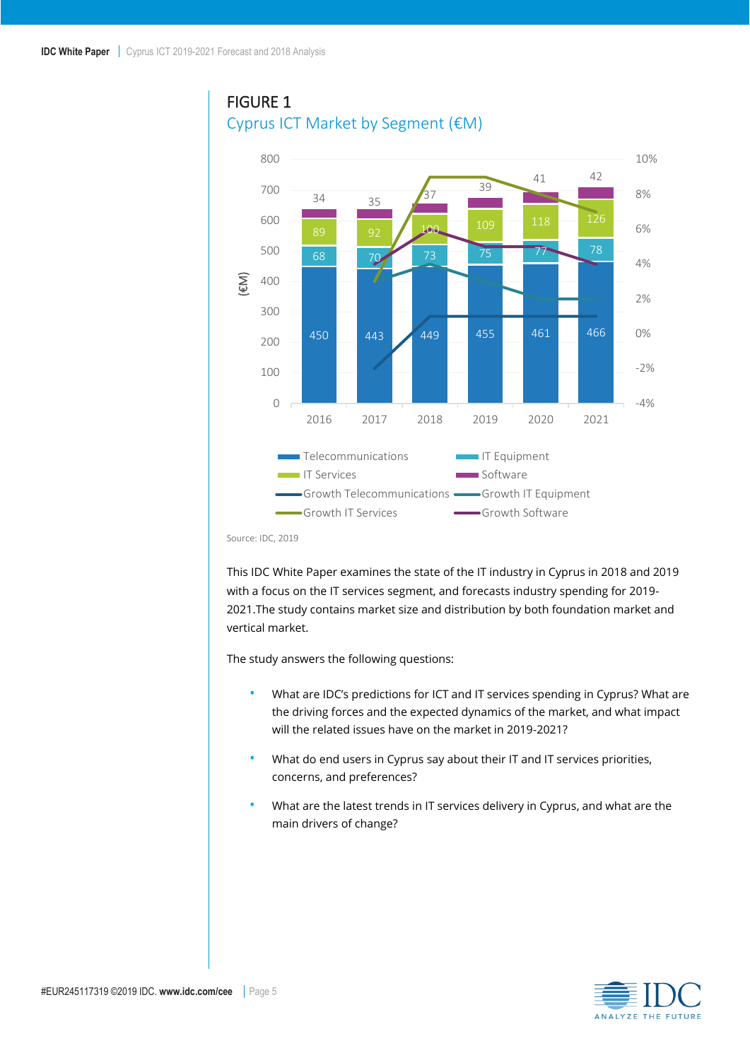### <span id="page-4-0"></span>FIGURE 1 Cyprus ICT Market by Segment (€M)



Source: IDC, 2019

This IDC White Paper examines the state of the IT industry in Cyprus in 2018 and 2019 with a focus on the IT services segment, and forecasts industry spending for 2019- 2021.The study contains market size and distribution by both foundation market and vertical market.

The study answers the following questions:

- What are IDC's predictions for ICT and IT services spending in Cyprus? What are the driving forces and the expected dynamics of the market, and what impact will the related issues have on the market in 2019-2021?
- What do end users in Cyprus say about their IT and IT services priorities, concerns, and preferences?
- What are the latest trends in IT services delivery in Cyprus, and what are the main drivers of change?

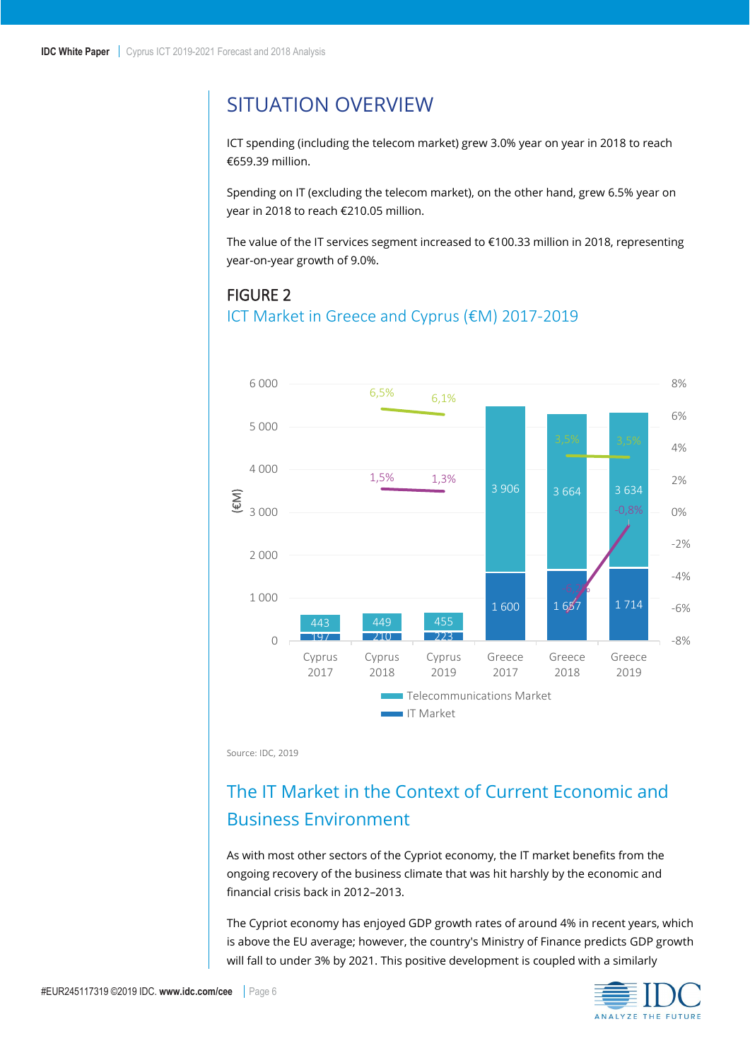## <span id="page-5-0"></span>SITUATION OVERVIEW

ICT spending (including the telecom market) grew 3.0% year on year in 2018 to reach €659.39 million.

Spending on IT (excluding the telecom market), on the other hand, grew 6.5% year on year in 2018 to reach €210.05 million.

The value of the IT services segment increased to €100.33 million in 2018, representing year-on-year growth of 9.0%.

### <span id="page-5-2"></span>FIGURE 2

#### ICT Market in Greece and Cyprus (€M) 2017-2019



Source: IDC, 2019

## <span id="page-5-1"></span>The IT Market in the Context of Current Economic and Business Environment

As with most other sectors of the Cypriot economy, the IT market benefits from the ongoing recovery of the business climate that was hit harshly by the economic and financial crisis back in 2012–2013.

The Cypriot economy has enjoyed GDP growth rates of around 4% in recent years, which is above the EU average; however, the country's Ministry of Finance predicts GDP growth will fall to under 3% by 2021. This positive development is coupled with a similarly

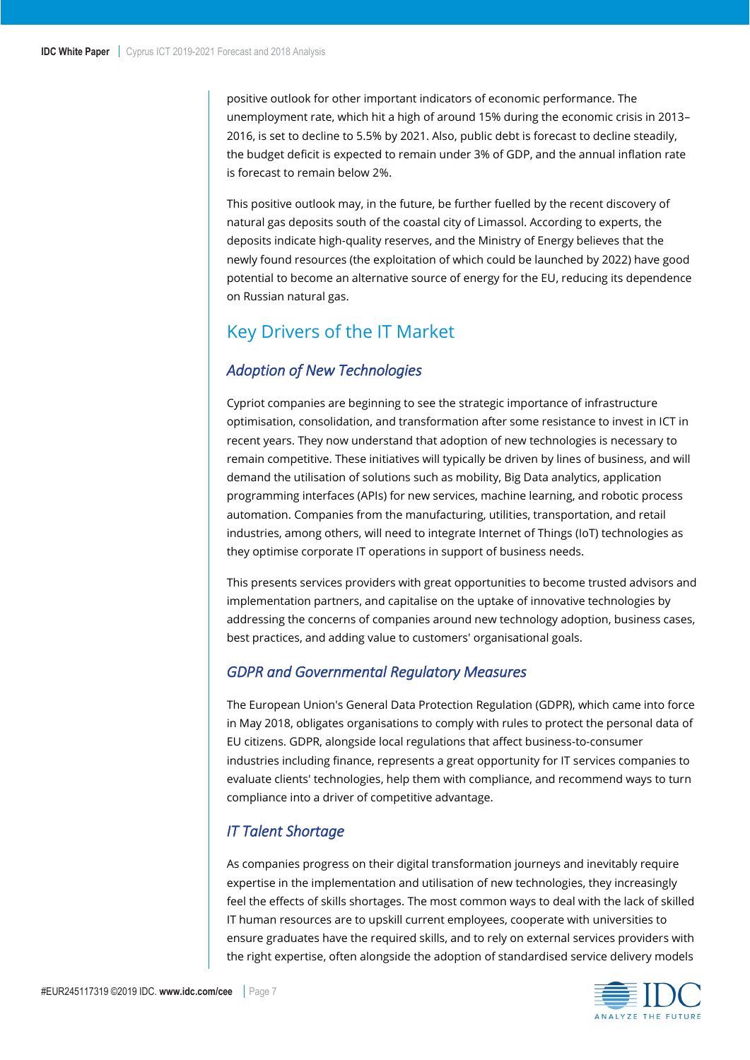positive outlook for other important indicators of economic performance. The unemployment rate, which hit a high of around 15% during the economic crisis in 2013– 2016, is set to decline to 5.5% by 2021. Also, public debt is forecast to decline steadily, the budget deficit is expected to remain under 3% of GDP, and the annual inflation rate is forecast to remain below 2%.

This positive outlook may, in the future, be further fuelled by the recent discovery of natural gas deposits south of the coastal city of Limassol. According to experts, the deposits indicate high-quality reserves, and the Ministry of Energy believes that the newly found resources (the exploitation of which could be launched by 2022) have good potential to become an alternative source of energy for the EU, reducing its dependence on Russian natural gas.

## <span id="page-6-0"></span>Key Drivers of the IT Market

### <span id="page-6-1"></span>*Adoption of New Technologies*

Cypriot companies are beginning to see the strategic importance of infrastructure optimisation, consolidation, and transformation after some resistance to invest in ICT in recent years. They now understand that adoption of new technologies is necessary to remain competitive. These initiatives will typically be driven by lines of business, and will demand the utilisation of solutions such as mobility, Big Data analytics, application programming interfaces (APIs) for new services, machine learning, and robotic process automation. Companies from the manufacturing, utilities, transportation, and retail industries, among others, will need to integrate Internet of Things (IoT) technologies as they optimise corporate IT operations in support of business needs.

This presents services providers with great opportunities to become trusted advisors and implementation partners, and capitalise on the uptake of innovative technologies by addressing the concerns of companies around new technology adoption, business cases, best practices, and adding value to customers' organisational goals.

#### <span id="page-6-2"></span>*GDPR and Governmental Regulatory Measures*

The European Union's General Data Protection Regulation (GDPR), which came into force in May 2018, obligates organisations to comply with rules to protect the personal data of EU citizens. GDPR, alongside local regulations that affect business-to-consumer industries including finance, represents a great opportunity for IT services companies to evaluate clients' technologies, help them with compliance, and recommend ways to turn compliance into a driver of competitive advantage.

### <span id="page-6-3"></span>*IT Talent Shortage*

As companies progress on their digital transformation journeys and inevitably require expertise in the implementation and utilisation of new technologies, they increasingly feel the effects of skills shortages. The most common ways to deal with the lack of skilled IT human resources are to upskill current employees, cooperate with universities to ensure graduates have the required skills, and to rely on external services providers with the right expertise, often alongside the adoption of standardised service delivery models

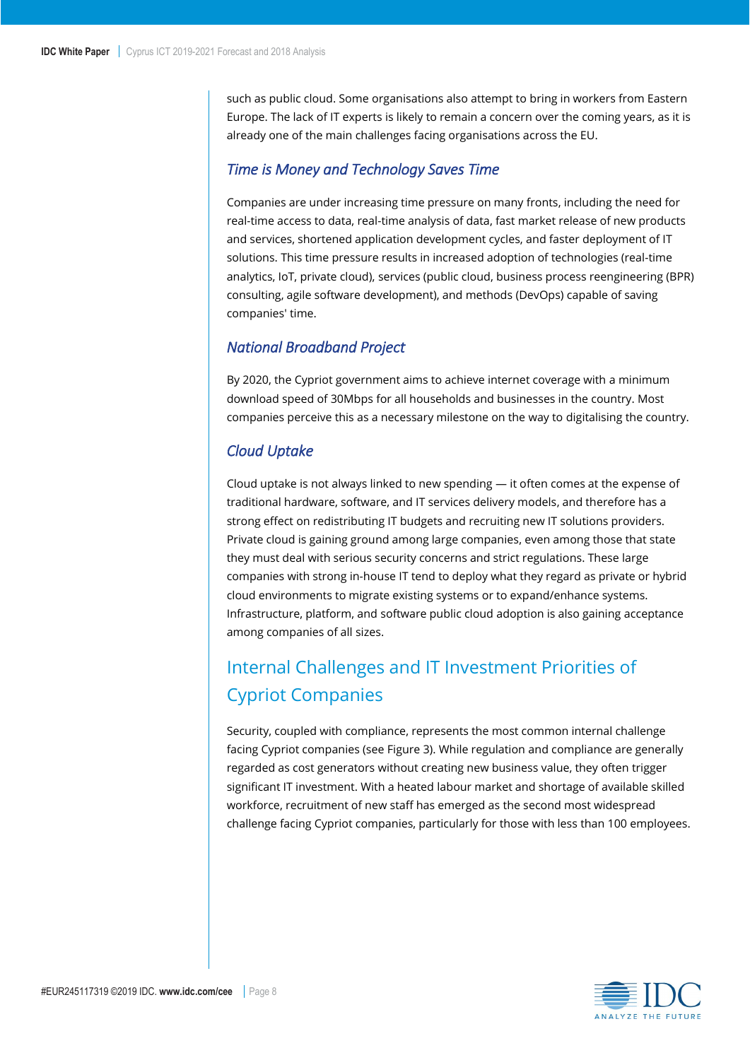such as public cloud. Some organisations also attempt to bring in workers from Eastern Europe. The lack of IT experts is likely to remain a concern over the coming years, as it is already one of the main challenges facing organisations across the EU.

#### <span id="page-7-0"></span>*Time is Money and Technology Saves Time*

Companies are under increasing time pressure on many fronts, including the need for real-time access to data, real-time analysis of data, fast market release of new products and services, shortened application development cycles, and faster deployment of IT solutions. This time pressure results in increased adoption of technologies (real-time analytics, IoT, private cloud), services (public cloud, business process reengineering (BPR) consulting, agile software development), and methods (DevOps) capable of saving companies' time.

#### <span id="page-7-1"></span>*National Broadband Project*

By 2020, the Cypriot government aims to achieve internet coverage with a minimum download speed of 30Mbps for all households and businesses in the country. Most companies perceive this as a necessary milestone on the way to digitalising the country.

#### <span id="page-7-2"></span>*Cloud Uptake*

Cloud uptake is not always linked to new spending  $-$  it often comes at the expense of traditional hardware, software, and IT services delivery models, and therefore has a strong effect on redistributing IT budgets and recruiting new IT solutions providers. Private cloud is gaining ground among large companies, even among those that state they must deal with serious security concerns and strict regulations. These large companies with strong in-house IT tend to deploy what they regard as private or hybrid cloud environments to migrate existing systems or to expand/enhance systems. Infrastructure, platform, and software public cloud adoption is also gaining acceptance among companies of all sizes.

## <span id="page-7-3"></span>Internal Challenges and IT Investment Priorities of Cypriot Companies

Security, coupled with compliance, represents the most common internal challenge facing Cypriot companies (see Figure 3). While regulation and compliance are generally regarded as cost generators without creating new business value, they often trigger significant IT investment. With a heated labour market and shortage of available skilled workforce, recruitment of new staff has emerged as the second most widespread challenge facing Cypriot companies, particularly for those with less than 100 employees.

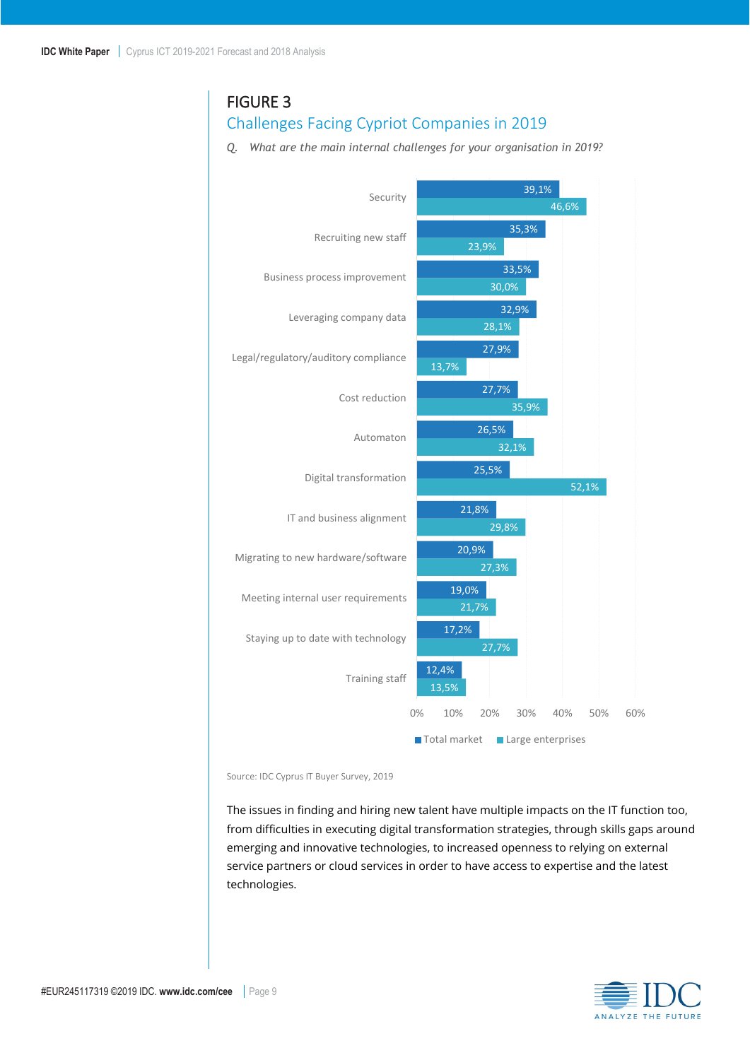### <span id="page-8-0"></span>FIGURE 3

### Challenges Facing Cypriot Companies in 2019

*Q. What are the main internal challenges for your organisation in 2019?*



Source: IDC Cyprus IT Buyer Survey, 2019

The issues in finding and hiring new talent have multiple impacts on the IT function too, from difficulties in executing digital transformation strategies, through skills gaps around emerging and innovative technologies, to increased openness to relying on external service partners or cloud services in order to have access to expertise and the latest technologies.

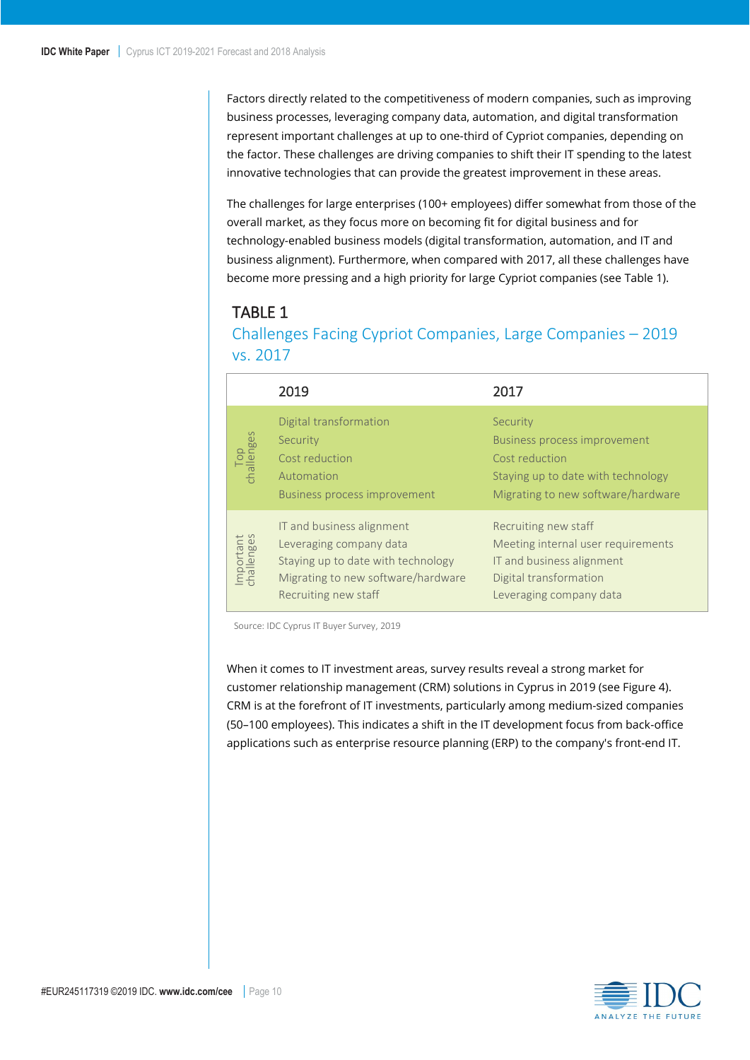Factors directly related to the competitiveness of modern companies, such as improving business processes, leveraging company data, automation, and digital transformation represent important challenges at up to one-third of Cypriot companies, depending on the factor. These challenges are driving companies to shift their IT spending to the latest innovative technologies that can provide the greatest improvement in these areas.

The challenges for large enterprises (100+ employees) differ somewhat from those of the overall market, as they focus more on becoming fit for digital business and for technology-enabled business models (digital transformation, automation, and IT and business alignment). Furthermore, when compared with 2017, all these challenges have become more pressing and a high priority for large Cypriot companies (see Table 1).

### <span id="page-9-0"></span>TABLE 1

Challenges Facing Cypriot Companies, Large Companies – 2019 vs. 2017

|                                        | 2019                                                                                                                                                     | 2017                                                                                                                                          |
|----------------------------------------|----------------------------------------------------------------------------------------------------------------------------------------------------------|-----------------------------------------------------------------------------------------------------------------------------------------------|
| Top<br>challenges                      | Digital transformation<br>Security<br>Cost reduction<br>Automation<br><b>Business process improvement</b>                                                | Security<br><b>Business process improvement</b><br>Cost reduction<br>Staying up to date with technology<br>Migrating to new software/hardware |
| Important<br>challenges<br>$g_{\rm c}$ | IT and business alignment<br>Leveraging company data<br>Staying up to date with technology<br>Migrating to new software/hardware<br>Recruiting new staff | Recruiting new staff<br>Meeting internal user requirements<br>IT and business alignment<br>Digital transformation<br>Leveraging company data  |

Source: IDC Cyprus IT Buyer Survey, 2019

When it comes to IT investment areas, survey results reveal a strong market for customer relationship management (CRM) solutions in Cyprus in 2019 (see Figure 4). CRM is at the forefront of IT investments, particularly among medium-sized companies (50–100 employees). This indicates a shift in the IT development focus from back-office applications such as enterprise resource planning (ERP) to the company's front-end IT.

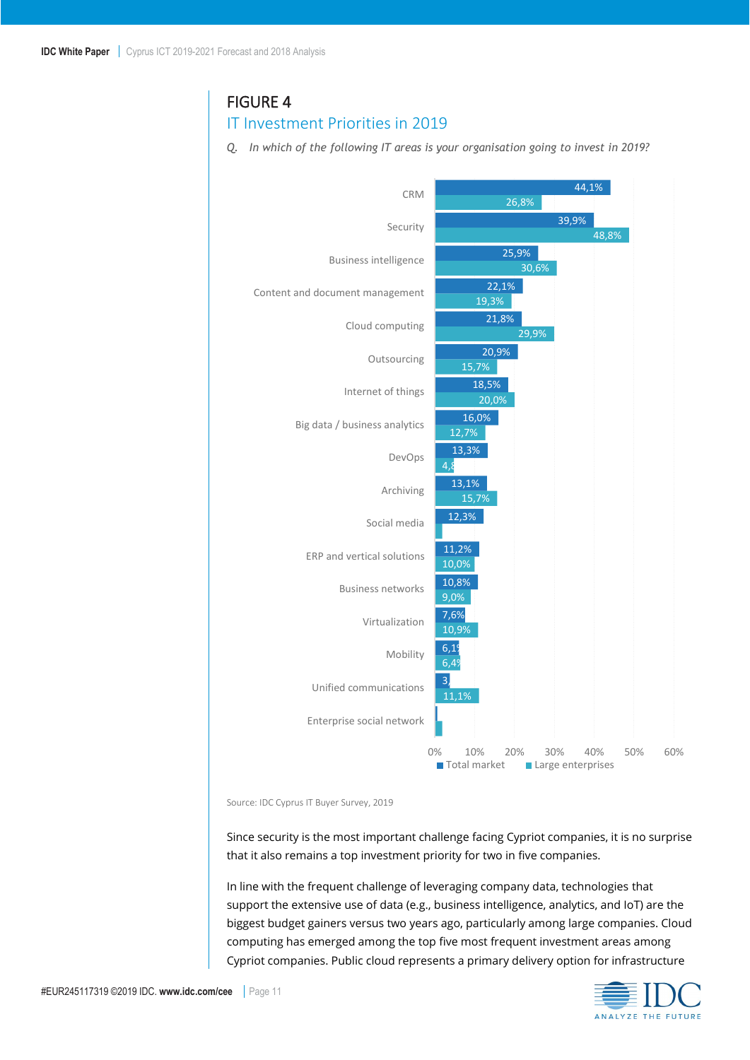### <span id="page-10-0"></span>FIGURE 4

#### IT Investment Priorities in 2019

*Q. In which of the following IT areas is your organisation going to invest in 2019?*



Source: IDC Cyprus IT Buyer Survey, 2019

Since security is the most important challenge facing Cypriot companies, it is no surprise that it also remains a top investment priority for two in five companies.

In line with the frequent challenge of leveraging company data, technologies that support the extensive use of data (e.g., business intelligence, analytics, and IoT) are the biggest budget gainers versus two years ago, particularly among large companies. Cloud computing has emerged among the top five most frequent investment areas among Cypriot companies. Public cloud represents a primary delivery option for infrastructure

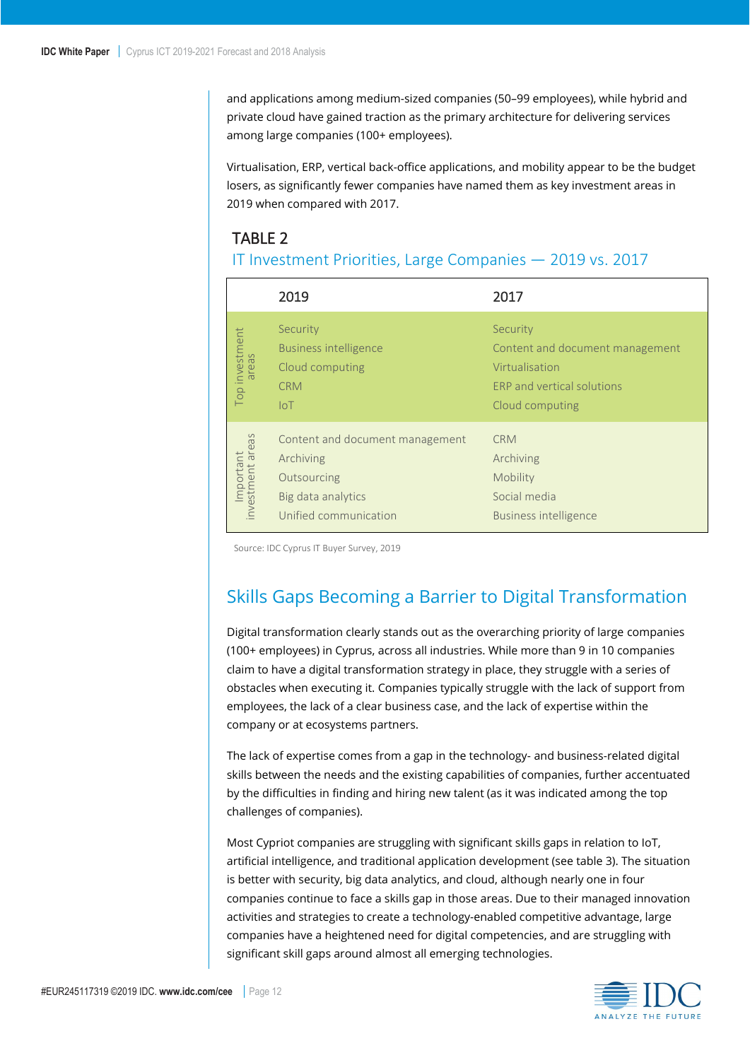and applications among medium-sized companies (50–99 employees), while hybrid and private cloud have gained traction as the primary architecture for delivering services among large companies (100+ employees).

Virtualisation, ERP, vertical back-office applications, and mobility appear to be the budget losers, as significantly fewer companies have named them as key investment areas in 2019 when compared with 2017.

## <span id="page-11-1"></span>TABLE 2

#### IT Investment Priorities, Large Companies — 2019 vs. 2017

|                                  | 2019                                                                                                       | 2017                                                                                                                  |
|----------------------------------|------------------------------------------------------------------------------------------------------------|-----------------------------------------------------------------------------------------------------------------------|
| Top investment                   | Security<br><b>Business intelligence</b><br>Cloud computing<br><b>CRM</b><br>$I \circ T$                   | Security<br>Content and document management<br>Virtualisation<br><b>ERP</b> and vertical solutions<br>Cloud computing |
| areas<br>Important<br>investment | Content and document management<br>Archiving<br>Outsourcing<br>Big data analytics<br>Unified communication | <b>CRM</b><br>Archiving<br>Mobility<br>Social media<br><b>Business intelligence</b>                                   |

<span id="page-11-0"></span>Source: IDC Cyprus IT Buyer Survey, 2019

## Skills Gaps Becoming a Barrier to Digital Transformation

Digital transformation clearly stands out as the overarching priority of large companies (100+ employees) in Cyprus, across all industries. While more than 9 in 10 companies claim to have a digital transformation strategy in place, they struggle with a series of obstacles when executing it. Companies typically struggle with the lack of support from employees, the lack of a clear business case, and the lack of expertise within the company or at ecosystems partners.

The lack of expertise comes from a gap in the technology- and business-related digital skills between the needs and the existing capabilities of companies, further accentuated by the difficulties in finding and hiring new talent (as it was indicated among the top challenges of companies).

Most Cypriot companies are struggling with significant skills gaps in relation to IoT, artificial intelligence, and traditional application development (see table 3). The situation is better with security, big data analytics, and cloud, although nearly one in four companies continue to face a skills gap in those areas. Due to their managed innovation activities and strategies to create a technology-enabled competitive advantage, large companies have a heightened need for digital competencies, and are struggling with significant skill gaps around almost all emerging technologies.

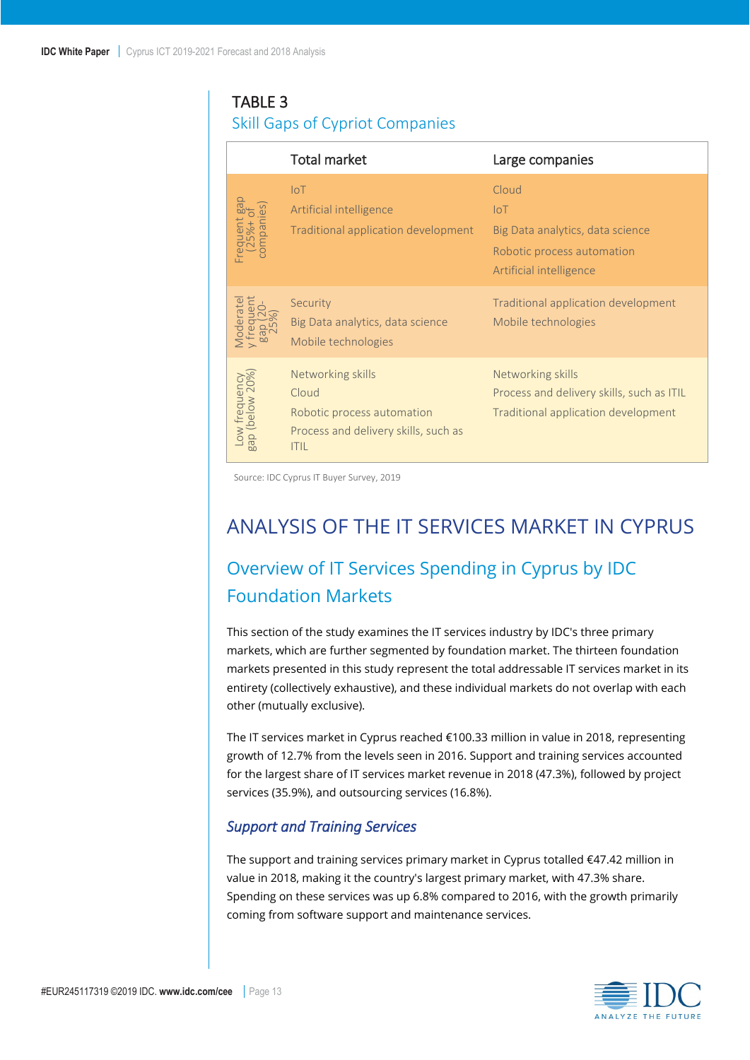### <span id="page-12-3"></span>TABLE 3

### Skill Gaps of Cypriot Companies

|                                                             | <b>Total market</b>                                                                                             | Large companies                                                                                                   |
|-------------------------------------------------------------|-----------------------------------------------------------------------------------------------------------------|-------------------------------------------------------------------------------------------------------------------|
| ies<br>equent<br>25%+<br>ompani                             | $I \circ T$<br>Artificial intelligence<br>Traditional application development                                   | Cloud<br>$I \circ T$<br>Big Data analytics, data science<br>Robotic process automation<br>Artificial intelligence |
| eratel                                                      | Security<br>Big Data analytics, data science<br>Mobile technologies                                             | Traditional application development<br>Mobile technologies                                                        |
| / frequency<br>(below 20%)<br>$\geqslant$<br>$\sigma$<br>bn | Networking skills<br>Cloud<br>Robotic process automation<br>Process and delivery skills, such as<br><b>ITIL</b> | Networking skills<br>Process and delivery skills, such as ITIL<br>Traditional application development             |

<span id="page-12-0"></span>Source: IDC Cyprus IT Buyer Survey, 2019

## ANALYSIS OF THE IT SERVICES MARKET IN CYPRUS

## <span id="page-12-1"></span>Overview of IT Services Spending in Cyprus by IDC Foundation Markets

This section of the study examines the IT services industry by IDC's three primary markets, which are further segmented by foundation market. The thirteen foundation markets presented in this study represent the total addressable IT services market in its entirety (collectively exhaustive), and these individual markets do not overlap with each other (mutually exclusive).

The IT services market in Cyprus reached €100.33 million in value in 2018, representing growth of 12.7% from the levels seen in 2016. Support and training services accounted for the largest share of IT services market revenue in 2018 (47.3%), followed by project services (35.9%), and outsourcing services (16.8%).

#### <span id="page-12-2"></span>*Support and Training Services*

The support and training services primary market in Cyprus totalled €47.42 million in value in 2018, making it the country's largest primary market, with 47.3% share. Spending on these services was up 6.8% compared to 2016, with the growth primarily coming from software support and maintenance services.

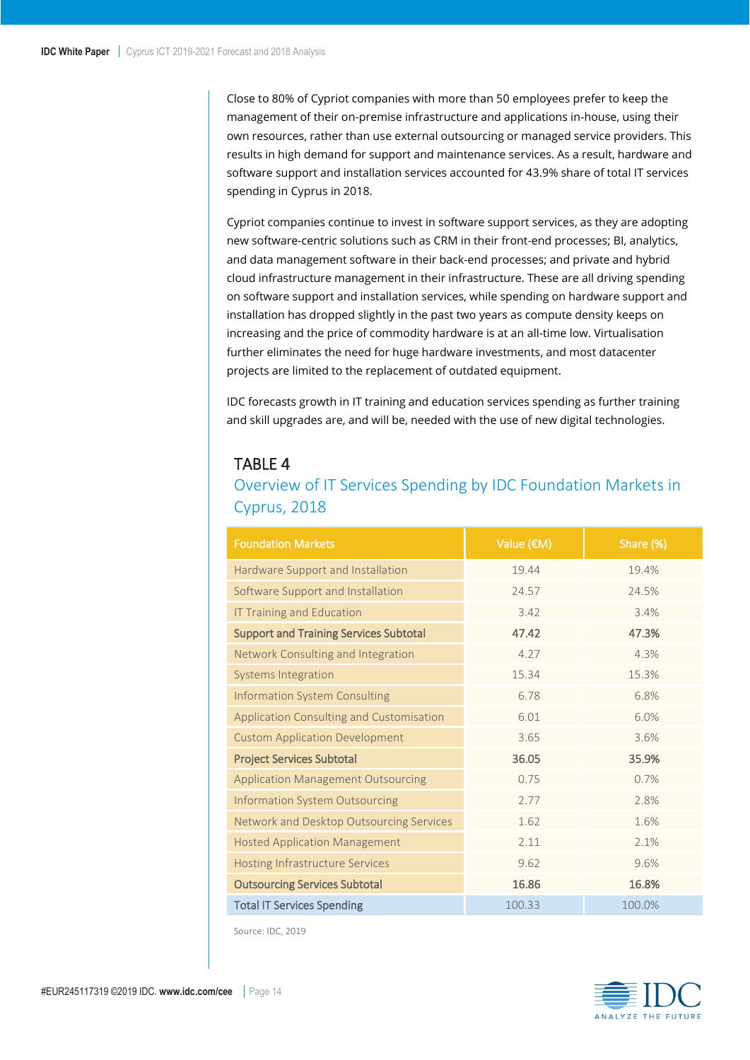Close to 80% of Cypriot companies with more than 50 employees prefer to keep the management of their on-premise infrastructure and applications in-house, using their own resources, rather than use external outsourcing or managed service providers. This results in high demand for support and maintenance services. As a result, hardware and software support and installation services accounted for 43.9% share of total IT services spending in Cyprus in 2018.

Cypriot companies continue to invest in software support services, as they are adopting new software-centric solutions such as CRM in their front-end processes; BI, analytics, and data management software in their back-end processes; and private and hybrid cloud infrastructure management in their infrastructure. These are all driving spending on software support and installation services, while spending on hardware support and installation has dropped slightly in the past two years as compute density keeps on increasing and the price of commodity hardware is at an all-time low. Virtualisation further eliminates the need for huge hardware investments, and most datacenter projects are limited to the replacement of outdated equipment.

IDC forecasts growth in IT training and education services spending as further training and skill upgrades are, and will be, needed with the use of new digital technologies.

#### <span id="page-13-0"></span>TABLE 4

### Overview of IT Services Spending by IDC Foundation Markets in Cyprus, 2018

| <b>Foundation Markets</b>                     | Value (€M) | Share (%) |  |  |
|-----------------------------------------------|------------|-----------|--|--|
| Hardware Support and Installation             | 19.44      | 19.4%     |  |  |
| Software Support and Installation             | 24.57      | 24.5%     |  |  |
| <b>IT Training and Education</b>              | 3.42       | 3.4%      |  |  |
| <b>Support and Training Services Subtotal</b> | 47.42      | 47.3%     |  |  |
| Network Consulting and Integration            | 4.27       | 4.3%      |  |  |
| <b>Systems Integration</b>                    | 15.34      | 15.3%     |  |  |
| <b>Information System Consulting</b>          | 6.78       | 6.8%      |  |  |
| Application Consulting and Customisation      | 6.01       | 6.0%      |  |  |
| <b>Custom Application Development</b>         | 3.65       | 3.6%      |  |  |
| <b>Project Services Subtotal</b>              | 36.05      | 35.9%     |  |  |
| <b>Application Management Outsourcing</b>     | 0.75       | 0.7%      |  |  |
| <b>Information System Outsourcing</b>         | 2.77       | 2.8%      |  |  |
| Network and Desktop Outsourcing Services      | 1.62       | 1.6%      |  |  |
| <b>Hosted Application Management</b>          | 2.11       | 2.1%      |  |  |
| <b>Hosting Infrastructure Services</b>        | 9.62       | 9.6%      |  |  |
| <b>Outsourcing Services Subtotal</b>          | 16.86      | 16.8%     |  |  |
| <b>Total IT Services Spending</b>             | 100.33     | 100.0%    |  |  |

Source: IDC, 2019

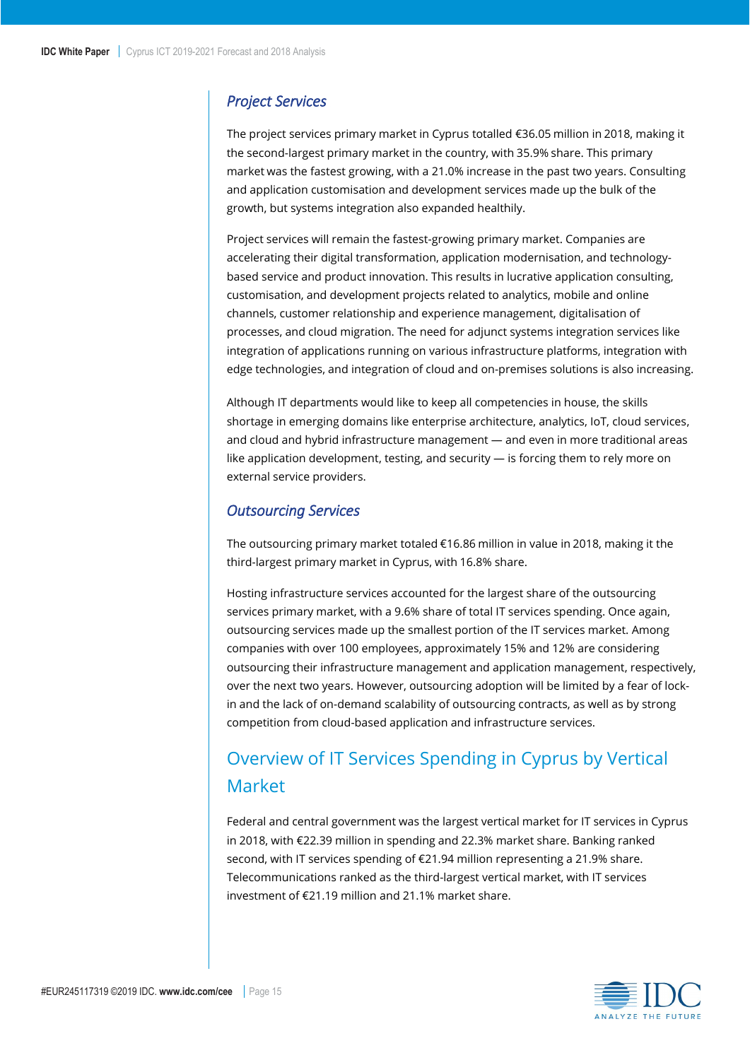#### <span id="page-14-0"></span>*Project Services*

The project services primary market in Cyprus totalled €36.05 million in 2018, making it the second-largest primary market in the country, with 35.9% share. This primary market was the fastest growing, with a 21.0% increase in the past two years. Consulting and application customisation and development services made up the bulk of the growth, but systems integration also expanded healthily.

Project services will remain the fastest-growing primary market. Companies are accelerating their digital transformation, application modernisation, and technologybased service and product innovation. This results in lucrative application consulting, customisation, and development projects related to analytics, mobile and online channels, customer relationship and experience management, digitalisation of processes, and cloud migration. The need for adjunct systems integration services like integration of applications running on various infrastructure platforms, integration with edge technologies, and integration of cloud and on-premises solutions is also increasing.

Although IT departments would like to keep all competencies in house, the skills shortage in emerging domains like enterprise architecture, analytics, IoT, cloud services, and cloud and hybrid infrastructure management — and even in more traditional areas like application development, testing, and security — is forcing them to rely more on external service providers.

#### <span id="page-14-1"></span>*Outsourcing Services*

The outsourcing primary market totaled €16.86 million in value in 2018, making it the third-largest primary market in Cyprus, with 16.8% share.

Hosting infrastructure services accounted for the largest share of the outsourcing services primary market, with a 9.6% share of total IT services spending. Once again, outsourcing services made up the smallest portion of the IT services market. Among companies with over 100 employees, approximately 15% and 12% are considering outsourcing their infrastructure management and application management, respectively, over the next two years. However, outsourcing adoption will be limited by a fear of lockin and the lack of on-demand scalability of outsourcing contracts, as well as by strong competition from cloud-based application and infrastructure services.

## <span id="page-14-2"></span>Overview of IT Services Spending in Cyprus by Vertical Market

Federal and central government was the largest vertical market for IT services in Cyprus in 2018, with €22.39 million in spending and 22.3% market share. Banking ranked second, with IT services spending of €21.94 million representing a 21.9% share. Telecommunications ranked as the third-largest vertical market, with IT services investment of €21.19 million and 21.1% market share.

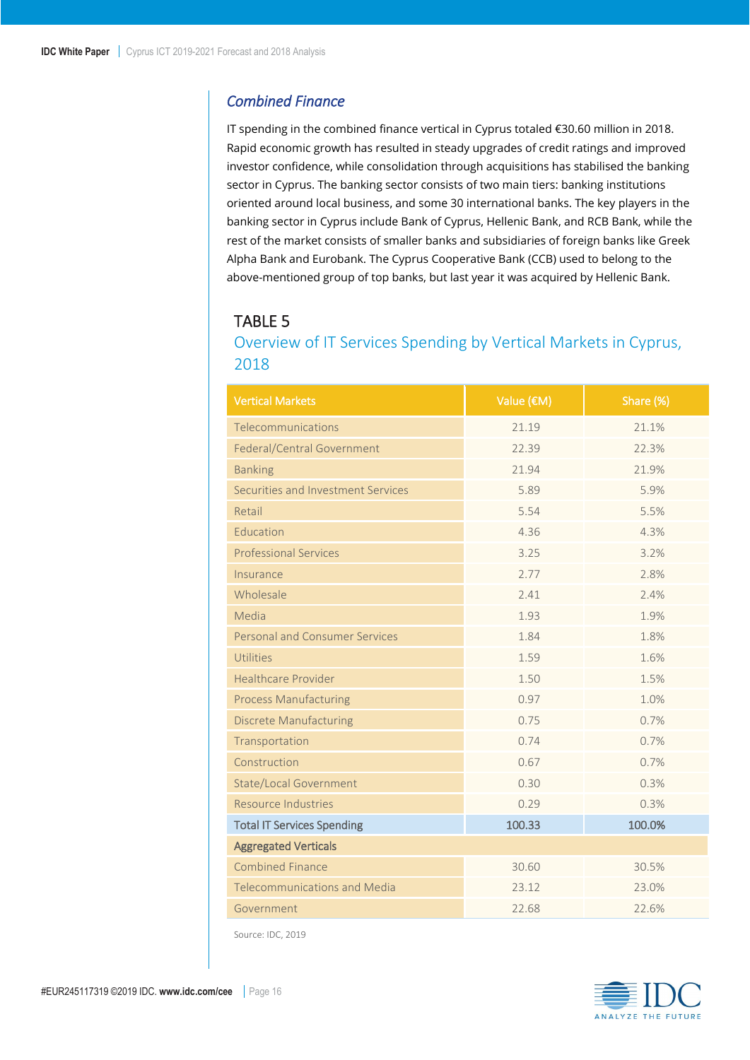#### <span id="page-15-0"></span>*Combined Finance*

IT spending in the combined finance vertical in Cyprus totaled €30.60 million in 2018. Rapid economic growth has resulted in steady upgrades of credit ratings and improved investor confidence, while consolidation through acquisitions has stabilised the banking sector in Cyprus. The banking sector consists of two main tiers: banking institutions oriented around local business, and some 30 international banks. The key players in the banking sector in Cyprus include Bank of Cyprus, Hellenic Bank, and RCB Bank, while the rest of the market consists of smaller banks and subsidiaries of foreign banks like Greek Alpha Bank and Eurobank. The Cyprus Cooperative Bank (CCB) used to belong to the above-mentioned group of top banks, but last year it was acquired by Hellenic Bank.

## <span id="page-15-1"></span>TABLE 5

### Overview of IT Services Spending by Vertical Markets in Cyprus, 2018

| <b>Vertical Markets</b>               | Value (€M)       | Share (%) |  |  |
|---------------------------------------|------------------|-----------|--|--|
| Telecommunications                    | 21.19            | 21.1%     |  |  |
| Federal/Central Government            | 22.39            | 22.3%     |  |  |
| <b>Banking</b>                        | 21.94            | 21.9%     |  |  |
| Securities and Investment Services    | 5.89             | 5.9%      |  |  |
| Retail                                | 5.54             | 5.5%      |  |  |
| Education                             | 4.36             | 4.3%      |  |  |
| <b>Professional Services</b>          | 3.25             | 3.2%      |  |  |
| Insurance                             | 2.77             | 2.8%      |  |  |
| Wholesale                             | 2.41             | 2.4%      |  |  |
| Media                                 | 1.93             | 1.9%      |  |  |
| <b>Personal and Consumer Services</b> | 1.84             | 1.8%      |  |  |
| Utilities                             | 1.59             | 1.6%      |  |  |
| <b>Healthcare Provider</b>            | 1.50             | 1.5%      |  |  |
| <b>Process Manufacturing</b>          | 0.97             | 1.0%      |  |  |
| <b>Discrete Manufacturing</b>         | 0.75             | 0.7%      |  |  |
| Transportation                        | 0.74             | 0.7%      |  |  |
| Construction                          | 0.67             | 0.7%      |  |  |
| <b>State/Local Government</b>         | 0.30             | 0.3%      |  |  |
| Resource Industries                   | 0.29             | 0.3%      |  |  |
| <b>Total IT Services Spending</b>     | 100.0%<br>100.33 |           |  |  |
| <b>Aggregated Verticals</b>           |                  |           |  |  |
| <b>Combined Finance</b>               | 30.60            | 30.5%     |  |  |
| <b>Telecommunications and Media</b>   | 23.12            | 23.0%     |  |  |
| Government                            | 22.68            | 22.6%     |  |  |

Source: IDC, 2019

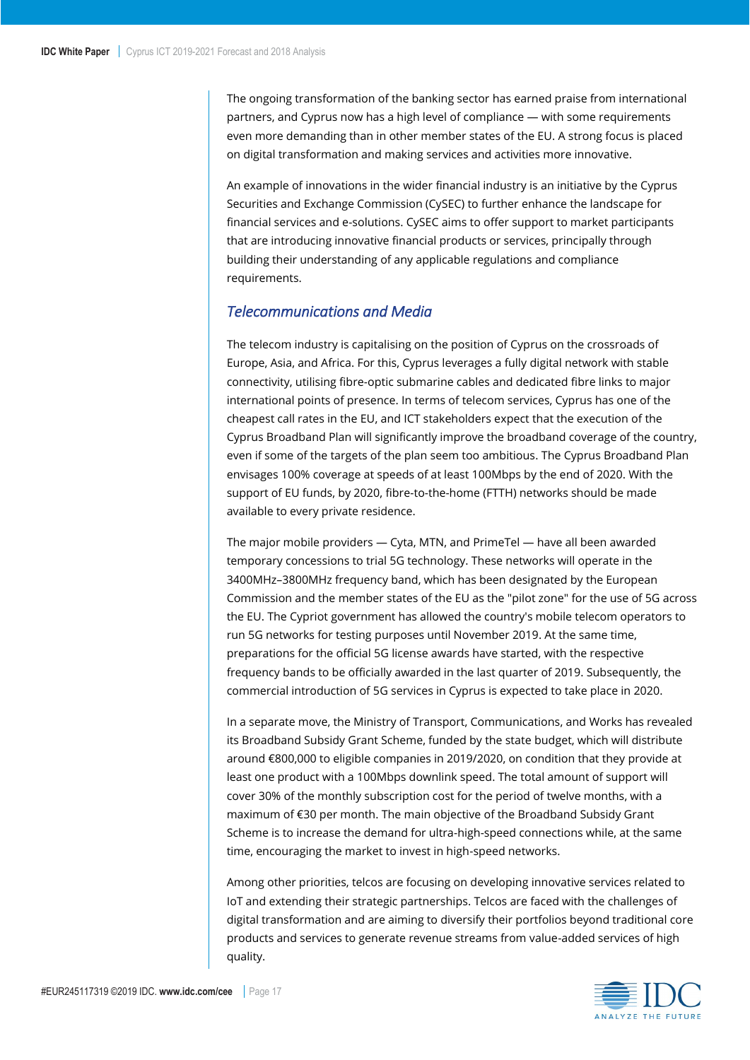The ongoing transformation of the banking sector has earned praise from international partners, and Cyprus now has a high level of compliance — with some requirements even more demanding than in other member states of the EU. A strong focus is placed on digital transformation and making services and activities more innovative.

An example of innovations in the wider financial industry is an initiative by the Cyprus Securities and Exchange Commission (CySEC) to further enhance the landscape for financial services and e-solutions. CySEC aims to offer support to market participants that are introducing innovative financial products or services, principally through building their understanding of any applicable regulations and compliance requirements.

#### <span id="page-16-0"></span>*Telecommunications and Media*

The telecom industry is capitalising on the position of Cyprus on the crossroads of Europe, Asia, and Africa. For this, Cyprus leverages a fully digital network with stable connectivity, utilising fibre-optic submarine cables and dedicated fibre links to major international points of presence. In terms of telecom services, Cyprus has one of the cheapest call rates in the EU, and ICT stakeholders expect that the execution of the Cyprus Broadband Plan will significantly improve the broadband coverage of the country, even if some of the targets of the plan seem too ambitious. The Cyprus Broadband Plan envisages 100% coverage at speeds of at least 100Mbps by the end of 2020. With the support of EU funds, by 2020, fibre-to-the-home (FTTH) networks should be made available to every private residence.

The major mobile providers — Cyta, MTN, and PrimeTel — have all been awarded temporary concessions to trial 5G technology. These networks will operate in the 3400MHz–3800MHz frequency band, which has been designated by the European Commission and the member states of the EU as the "pilot zone" for the use of 5G across the EU. The Cypriot government has allowed the country's mobile telecom operators to run 5G networks for testing purposes until November 2019. At the same time, preparations for the official 5G license awards have started, with the respective frequency bands to be officially awarded in the last quarter of 2019. Subsequently, the commercial introduction of 5G services in Cyprus is expected to take place in 2020.

In a separate move, the Ministry of Transport, Communications, and Works has revealed its Broadband Subsidy Grant Scheme, funded by the state budget, which will distribute around €800,000 to eligible companies in 2019/2020, on condition that they provide at least one product with a 100Mbps downlink speed. The total amount of support will cover 30% of the monthly subscription cost for the period of twelve months, with a maximum of €30 per month. The main objective of the Broadband Subsidy Grant Scheme is to increase the demand for ultra-high-speed connections while, at the same time, encouraging the market to invest in high-speed networks.

Among other priorities, telcos are focusing on developing innovative services related to IoT and extending their strategic partnerships. Telcos are faced with the challenges of digital transformation and are aiming to diversify their portfolios beyond traditional core products and services to generate revenue streams from value-added services of high quality.

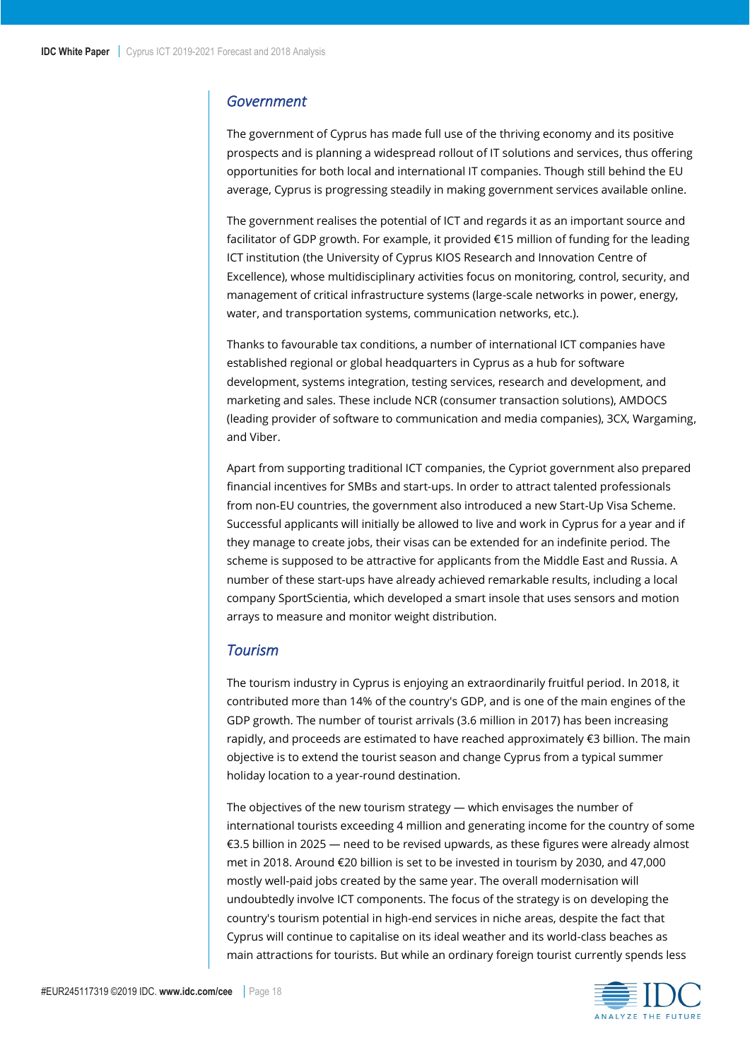#### <span id="page-17-0"></span>*Government*

The government of Cyprus has made full use of the thriving economy and its positive prospects and is planning a widespread rollout of IT solutions and services, thus offering opportunities for both local and international IT companies. Though still behind the EU average, Cyprus is progressing steadily in making government services available online.

The government realises the potential of ICT and regards it as an important source and facilitator of GDP growth. For example, it provided €15 million of funding for the leading ICT institution (the University of Cyprus KIOS Research and Innovation Centre of Excellence), whose multidisciplinary activities focus on monitoring, control, security, and management of critical infrastructure systems (large-scale networks in power, energy, water, and transportation systems, communication networks, etc.).

Thanks to favourable tax conditions, a number of international ICT companies have established regional or global headquarters in Cyprus as a hub for software development, systems integration, testing services, research and development, and marketing and sales. These include NCR (consumer transaction solutions), AMDOCS (leading provider of software to communication and media companies), 3CX, Wargaming, and Viber.

Apart from supporting traditional ICT companies, the Cypriot government also prepared financial incentives for SMBs and start-ups. In order to attract talented professionals from non-EU countries, the government also introduced a new Start-Up Visa Scheme. Successful applicants will initially be allowed to live and work in Cyprus for a year and if they manage to create jobs, their visas can be extended for an indefinite period. The scheme is supposed to be attractive for applicants from the Middle East and Russia. A number of these start-ups have already achieved remarkable results, including a local company SportScientia, which developed a smart insole that uses sensors and motion arrays to measure and monitor weight distribution.

#### <span id="page-17-1"></span>*Tourism*

The tourism industry in Cyprus is enjoying an extraordinarily fruitful period. In 2018, it contributed more than 14% of the country's GDP, and is one of the main engines of the GDP growth. The number of tourist arrivals (3.6 million in 2017) has been increasing rapidly, and proceeds are estimated to have reached approximately €3 billion. The main objective is to extend the tourist season and change Cyprus from a typical summer holiday location to a year-round destination.

The objectives of the new tourism strategy — which envisages the number of international tourists exceeding 4 million and generating income for the country of some €3.5 billion in 2025 — need to be revised upwards, as these figures were already almost met in 2018. Around €20 billion is set to be invested in tourism by 2030, and 47,000 mostly well-paid jobs created by the same year. The overall modernisation will undoubtedly involve ICT components. The focus of the strategy is on developing the country's tourism potential in high-end services in niche areas, despite the fact that Cyprus will continue to capitalise on its ideal weather and its world-class beaches as main attractions for tourists. But while an ordinary foreign tourist currently spends less

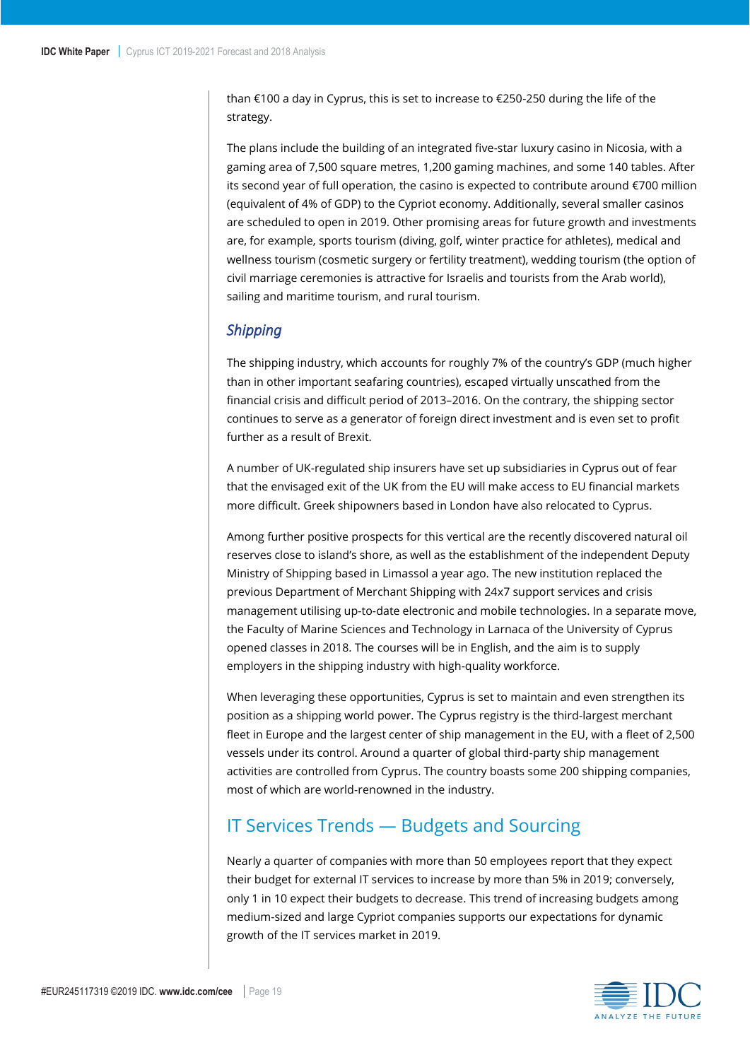than €100 a day in Cyprus, this is set to increase to €250-250 during the life of the strategy.

The plans include the building of an integrated five-star luxury casino in Nicosia, with a gaming area of 7,500 square metres, 1,200 gaming machines, and some 140 tables. After its second year of full operation, the casino is expected to contribute around €700 million (equivalent of 4% of GDP) to the Cypriot economy. Additionally, several smaller casinos are scheduled to open in 2019. Other promising areas for future growth and investments are, for example, sports tourism (diving, golf, winter practice for athletes), medical and wellness tourism (cosmetic surgery or fertility treatment), wedding tourism (the option of civil marriage ceremonies is attractive for Israelis and tourists from the Arab world), sailing and maritime tourism, and rural tourism.

#### <span id="page-18-0"></span>*Shipping*

The shipping industry, which accounts for roughly 7% of the country's GDP (much higher than in other important seafaring countries), escaped virtually unscathed from the financial crisis and difficult period of 2013–2016. On the contrary, the shipping sector continues to serve as a generator of foreign direct investment and is even set to profit further as a result of Brexit.

A number of UK-regulated ship insurers have set up subsidiaries in Cyprus out of fear that the envisaged exit of the UK from the EU will make access to EU financial markets more difficult. Greek shipowners based in London have also relocated to Cyprus.

Among further positive prospects for this vertical are the recently discovered natural oil reserves close to island's shore, as well as the establishment of the independent Deputy Ministry of Shipping based in Limassol a year ago. The new institution replaced the previous Department of Merchant Shipping with 24x7 support services and crisis management utilising up-to-date electronic and mobile technologies. In a separate move, the Faculty of Marine Sciences and Technology in Larnaca of the University of Cyprus opened classes in 2018. The courses will be in English, and the aim is to supply employers in the shipping industry with high-quality workforce.

When leveraging these opportunities, Cyprus is set to maintain and even strengthen its position as a shipping world power. The Cyprus registry is the third-largest merchant fleet in Europe and the largest center of ship management in the EU, with a fleet of 2,500 vessels under its control. Around a quarter of global third-party ship management activities are controlled from Cyprus. The country boasts some 200 shipping companies, most of which are world-renowned in the industry.       

## <span id="page-18-1"></span>IT Services Trends — Budgets and Sourcing

Nearly a quarter of companies with more than 50 employees report that they expect their budget for external IT services to increase by more than 5% in 2019; conversely, only 1 in 10 expect their budgets to decrease. This trend of increasing budgets among medium-sized and large Cypriot companies supports our expectations for dynamic growth of the IT services market in 2019.

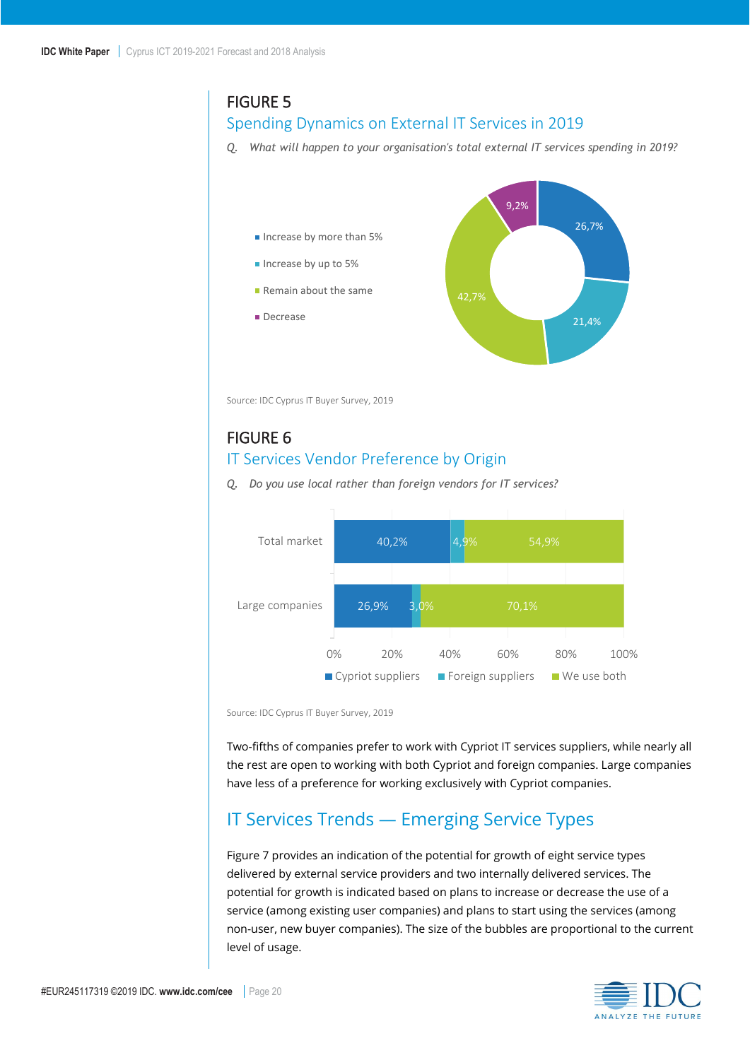### <span id="page-19-1"></span>FIGURE 5

#### Spending Dynamics on External IT Services in 2019

*Q. What will happen to your organisation's total external IT services spending in 2019?*



Source: IDC Cyprus IT Buyer Survey, 2019

#### <span id="page-19-2"></span>FIGURE 6 IT Services Vendor Preference by Origin



*Q. Do you use local rather than foreign vendors for IT services?*

Source: IDC Cyprus IT Buyer Survey, 2019

Two-fifths of companies prefer to work with Cypriot IT services suppliers, while nearly all the rest are open to working with both Cypriot and foreign companies. Large companies have less of a preference for working exclusively with Cypriot companies.

## <span id="page-19-0"></span>IT Services Trends — Emerging Service Types

Figure 7 provides an indication of the potential for growth of eight service types delivered by external service providers and two internally delivered services. The potential for growth is indicated based on plans to increase or decrease the use of a service (among existing user companies) and plans to start using the services (among non-user, new buyer companies). The size of the bubbles are proportional to the current level of usage.

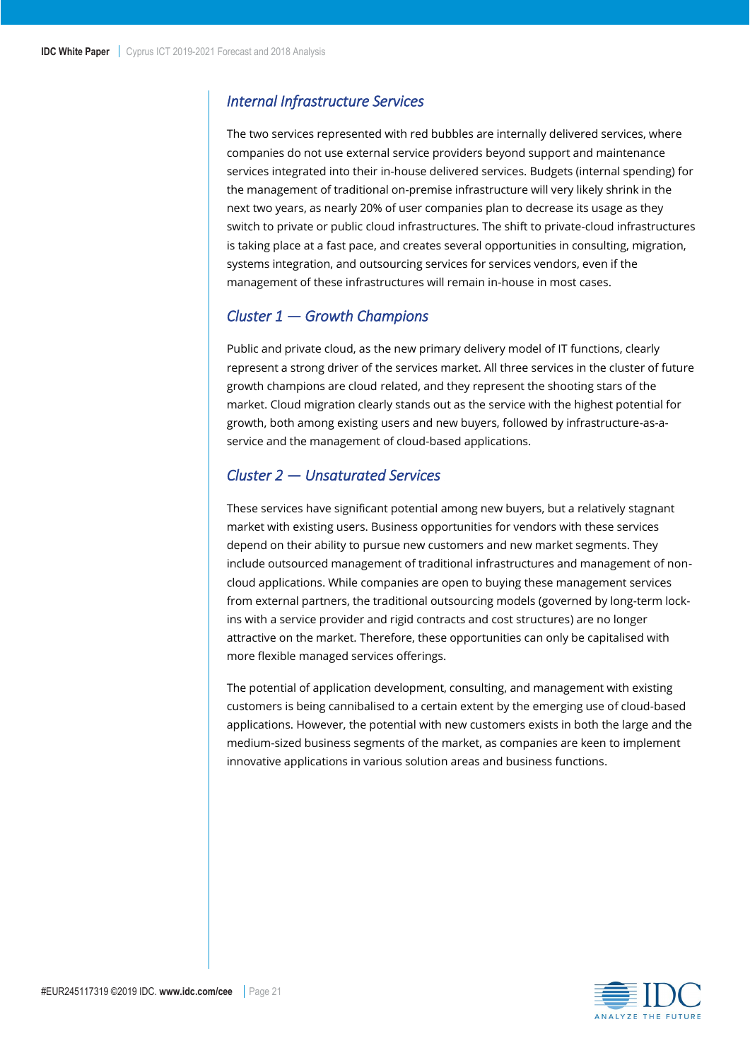### <span id="page-20-0"></span>*Internal Infrastructure Services*

The two services represented with red bubbles are internally delivered services, where companies do not use external service providers beyond support and maintenance services integrated into their in-house delivered services. Budgets (internal spending) for the management of traditional on-premise infrastructure will very likely shrink in the next two years, as nearly 20% of user companies plan to decrease its usage as they switch to private or public cloud infrastructures. The shift to private-cloud infrastructures is taking place at a fast pace, and creates several opportunities in consulting, migration, systems integration, and outsourcing services for services vendors, even if the management of these infrastructures will remain in-house in most cases.

#### <span id="page-20-1"></span>*Cluster 1 — Growth Champions*

Public and private cloud, as the new primary delivery model of IT functions, clearly represent a strong driver of the services market. All three services in the cluster of future growth champions are cloud related, and they represent the shooting stars of the market. Cloud migration clearly stands out as the service with the highest potential for growth, both among existing users and new buyers, followed by infrastructure-as-aservice and the management of cloud-based applications.

#### <span id="page-20-2"></span>*Cluster 2 — Unsaturated Services*

These services have significant potential among new buyers, but a relatively stagnant market with existing users. Business opportunities for vendors with these services depend on their ability to pursue new customers and new market segments. They include outsourced management of traditional infrastructures and management of noncloud applications. While companies are open to buying these management services from external partners, the traditional outsourcing models (governed by long-term lockins with a service provider and rigid contracts and cost structures) are no longer attractive on the market. Therefore, these opportunities can only be capitalised with more flexible managed services offerings.

The potential of application development, consulting, and management with existing customers is being cannibalised to a certain extent by the emerging use of cloud-based applications. However, the potential with new customers exists in both the large and the medium-sized business segments of the market, as companies are keen to implement innovative applications in various solution areas and business functions.

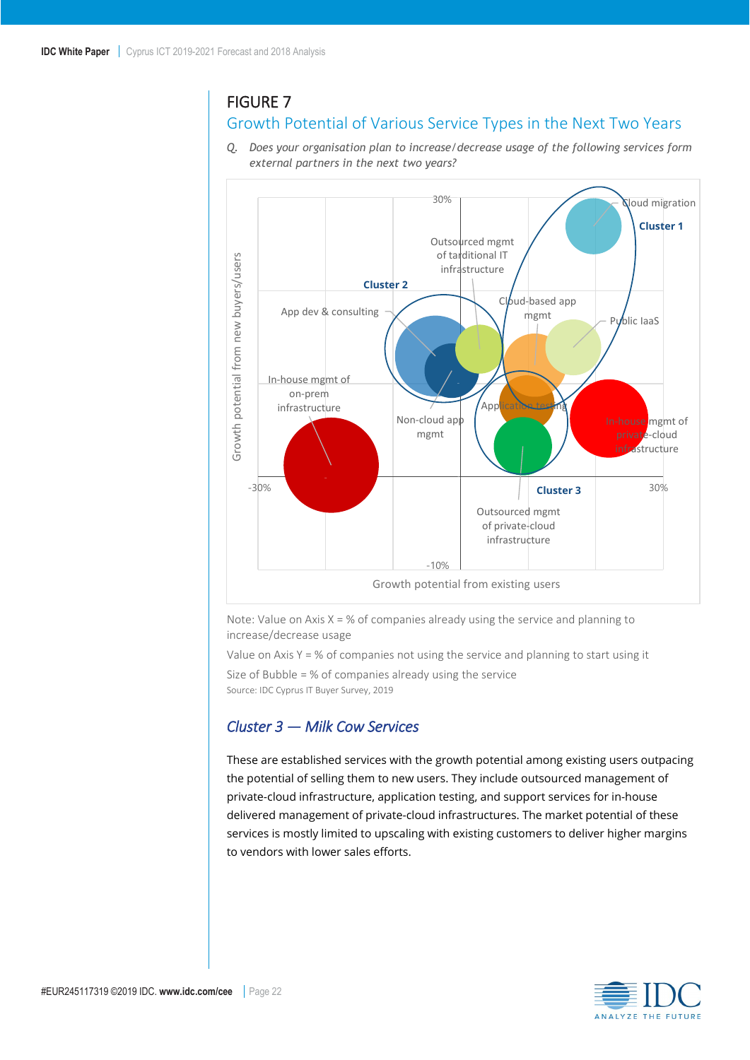### <span id="page-21-1"></span>FIGURE 7

## Growth Potential of Various Service Types in the Next Two Years

*Q. Does your organisation plan to increase/decrease usage of the following services form external partners in the next two years?*



Note: Value on Axis  $X = %$  of companies already using the service and planning to increase/decrease usage

Value on Axis  $Y = %$  of companies not using the service and planning to start using it

Size of Bubble = % of companies already using the service Source: IDC Cyprus IT Buyer Survey, 2019

#### <span id="page-21-0"></span>*Cluster 3 — Milk Cow Services*

These are established services with the growth potential among existing users outpacing the potential of selling them to new users. They include outsourced management of private-cloud infrastructure, application testing, and support services for in-house delivered management of private-cloud infrastructures. The market potential of these services is mostly limited to upscaling with existing customers to deliver higher margins to vendors with lower sales efforts.

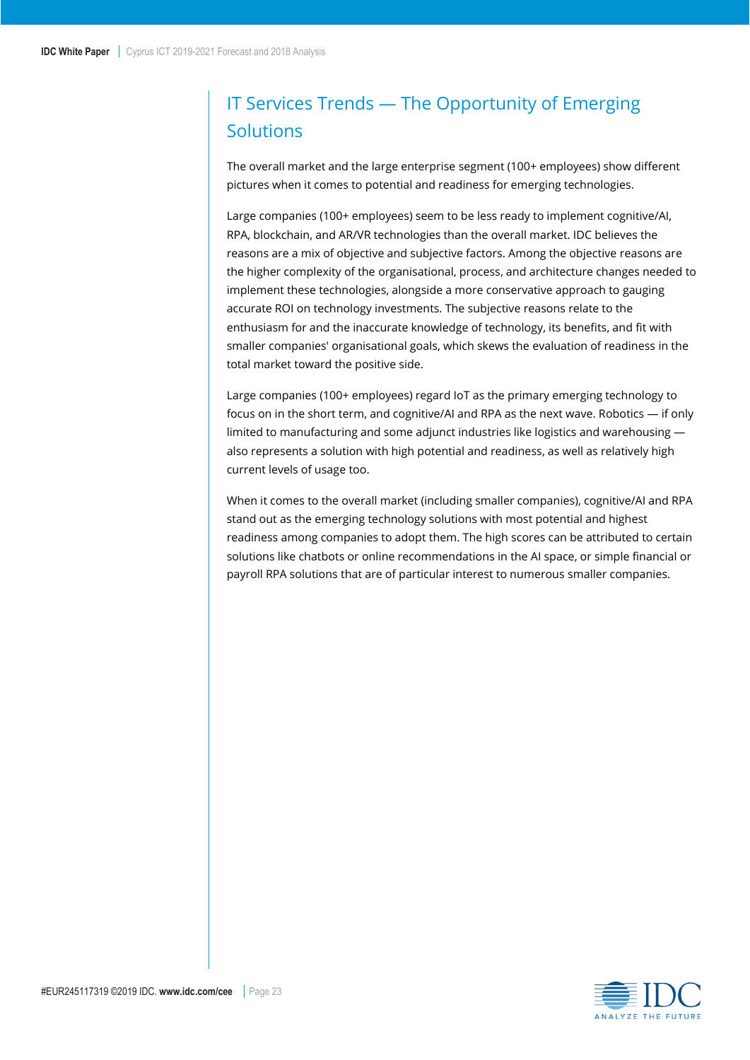## <span id="page-22-0"></span>IT Services Trends — The Opportunity of Emerging **Solutions**

The overall market and the large enterprise segment (100+ employees) show different pictures when it comes to potential and readiness for emerging technologies.

Large companies (100+ employees) seem to be less ready to implement cognitive/AI, RPA, blockchain, and AR/VR technologies than the overall market. IDC believes the reasons are a mix of objective and subjective factors. Among the objective reasons are the higher complexity of the organisational, process, and architecture changes needed to implement these technologies, alongside a more conservative approach to gauging accurate ROI on technology investments. The subjective reasons relate to the enthusiasm for and the inaccurate knowledge of technology, its benefits, and fit with smaller companies' organisational goals, which skews the evaluation of readiness in the total market toward the positive side.

Large companies (100+ employees) regard IoT as the primary emerging technology to focus on in the short term, and cognitive/AI and RPA as the next wave. Robotics — if only limited to manufacturing and some adjunct industries like logistics and warehousing also represents a solution with high potential and readiness, as well as relatively high current levels of usage too.

When it comes to the overall market (including smaller companies), cognitive/AI and RPA stand out as the emerging technology solutions with most potential and highest readiness among companies to adopt them. The high scores can be attributed to certain solutions like chatbots or online recommendations in the AI space, or simple financial or payroll RPA solutions that are of particular interest to numerous smaller companies.

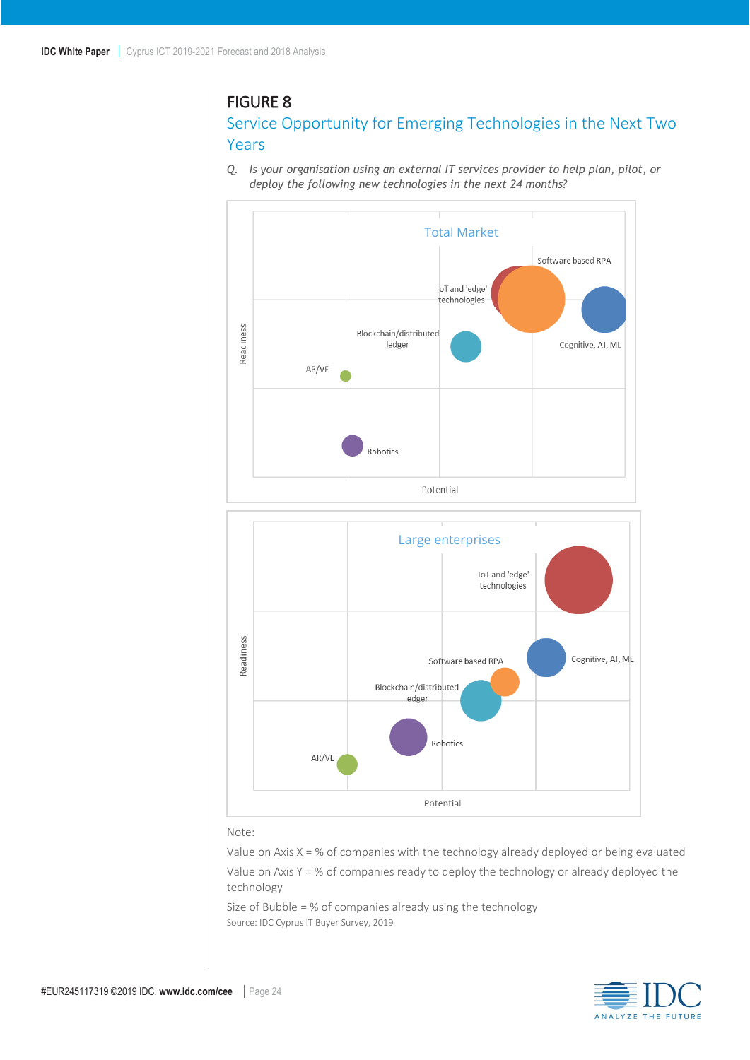### <span id="page-23-0"></span>FIGURE 8

### Service Opportunity for Emerging Technologies in the Next Two Years

*Q. Is your organisation using an external IT services provider to help plan, pilot, or deploy the following new technologies in the next 24 months?*



#### Note:

Value on Axis  $X = %$  of companies with the technology already deployed or being evaluated Value on Axis  $Y = %$  of companies ready to deploy the technology or already deployed the technology

Size of Bubble = % of companies already using the technology Source: IDC Cyprus IT Buyer Survey, 2019

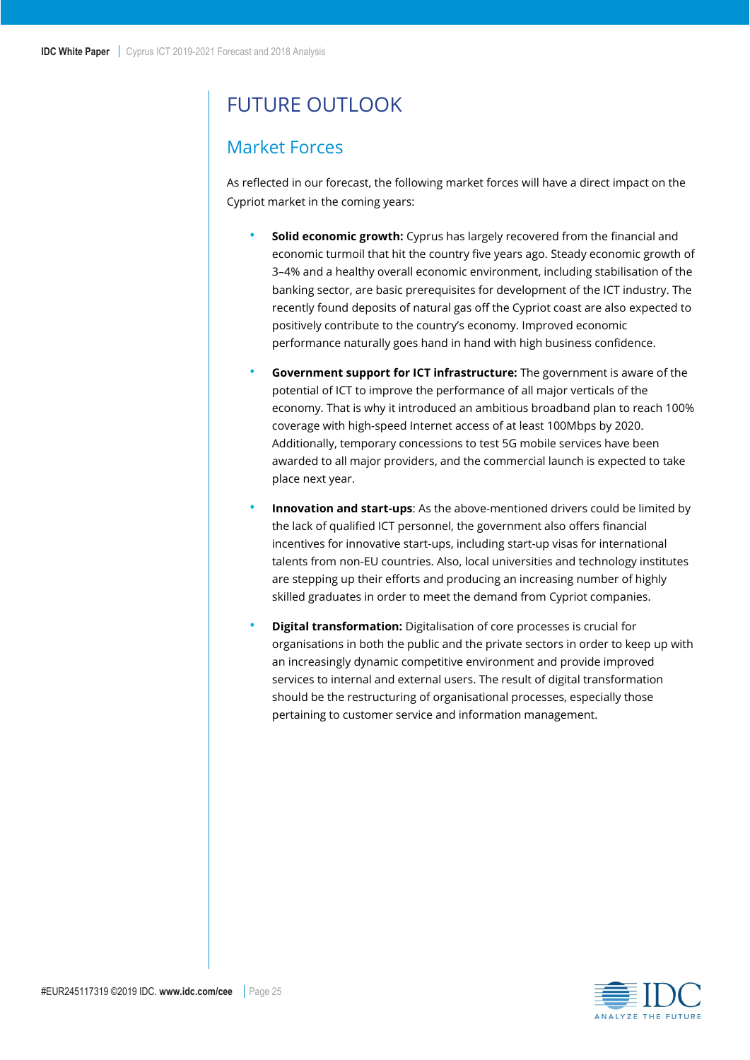## <span id="page-24-0"></span>FUTURE OUTLOOK

## <span id="page-24-1"></span>Market Forces

As reflected in our forecast, the following market forces will have a direct impact on the Cypriot market in the coming years:

- **Solid economic growth:** Cyprus has largely recovered from the financial and economic turmoil that hit the country five years ago. Steady economic growth of 3–4% and a healthy overall economic environment, including stabilisation of the banking sector, are basic prerequisites for development of the ICT industry. The recently found deposits of natural gas off the Cypriot coast are also expected to positively contribute to the country's economy. Improved economic performance naturally goes hand in hand with high business confidence.
- **Government support for ICT infrastructure:** The government is aware of the potential of ICT to improve the performance of all major verticals of the economy. That is why it introduced an ambitious broadband plan to reach 100% coverage with high-speed Internet access of at least 100Mbps by 2020. Additionally, temporary concessions to test 5G mobile services have been awarded to all major providers, and the commercial launch is expected to take place next year.
- **Innovation and start-ups**: As the above-mentioned drivers could be limited by the lack of qualified ICT personnel, the government also offers financial incentives for innovative start-ups, including start-up visas for international talents from non-EU countries. Also, local universities and technology institutes are stepping up their efforts and producing an increasing number of highly skilled graduates in order to meet the demand from Cypriot companies.
- **Digital transformation:** Digitalisation of core processes is crucial for organisations in both the public and the private sectors in order to keep up with an increasingly dynamic competitive environment and provide improved services to internal and external users. The result of digital transformation should be the restructuring of organisational processes, especially those pertaining to customer service and information management.

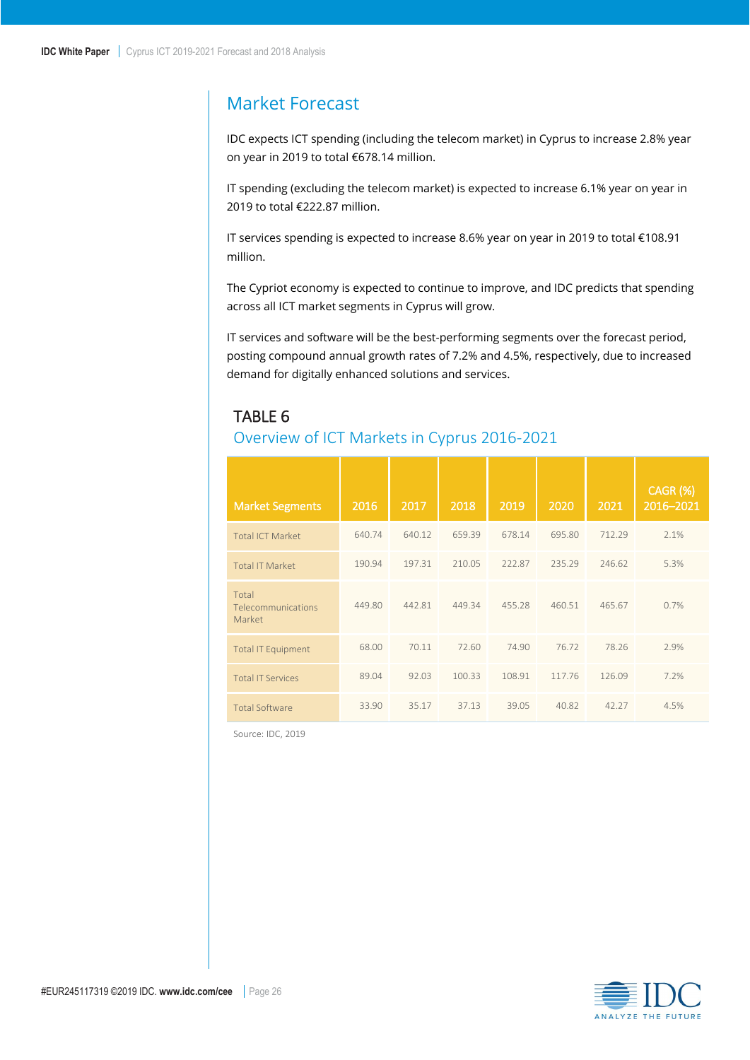## <span id="page-25-0"></span>Market Forecast

IDC expects ICT spending (including the telecom market) in Cyprus to increase 2.8% year on year in 2019 to total €678.14 million.

IT spending (excluding the telecom market) is expected to increase 6.1% year on year in 2019 to total €222.87 million.

IT services spending is expected to increase 8.6% year on year in 2019 to total €108.91 million.

The Cypriot economy is expected to continue to improve, and IDC predicts that spending across all ICT market segments in Cyprus will grow.

IT services and software will be the best-performing segments over the forecast period, posting compound annual growth rates of 7.2% and 4.5%, respectively, due to increased demand for digitally enhanced solutions and services.

## <span id="page-25-1"></span>TABLE 6

### Overview of ICT Markets in Cyprus 2016-2021

| <b>Market Segments</b>                | 2016   | 2017   | 2018   | 2019   | 2020   | 2021   | <b>CAGR (%)</b><br>2016-2021 |
|---------------------------------------|--------|--------|--------|--------|--------|--------|------------------------------|
| <b>Total ICT Market</b>               | 640.74 | 640.12 | 659.39 | 678.14 | 695.80 | 712.29 | 2.1%                         |
| <b>Total IT Market</b>                | 190.94 | 197.31 | 210.05 | 222.87 | 235.29 | 246.62 | 5.3%                         |
| Total<br>Telecommunications<br>Market | 449.80 | 442.81 | 449.34 | 455.28 | 460.51 | 465.67 | 0.7%                         |
| <b>Total IT Equipment</b>             | 68.00  | 70.11  | 72.60  | 74.90  | 76.72  | 78.26  | 2.9%                         |
| <b>Total IT Services</b>              | 89.04  | 92.03  | 100.33 | 108.91 | 117.76 | 126.09 | 7.2%                         |
| <b>Total Software</b>                 | 33.90  | 35.17  | 37.13  | 39.05  | 40.82  | 42.27  | 4.5%                         |

Source: IDC, 2019

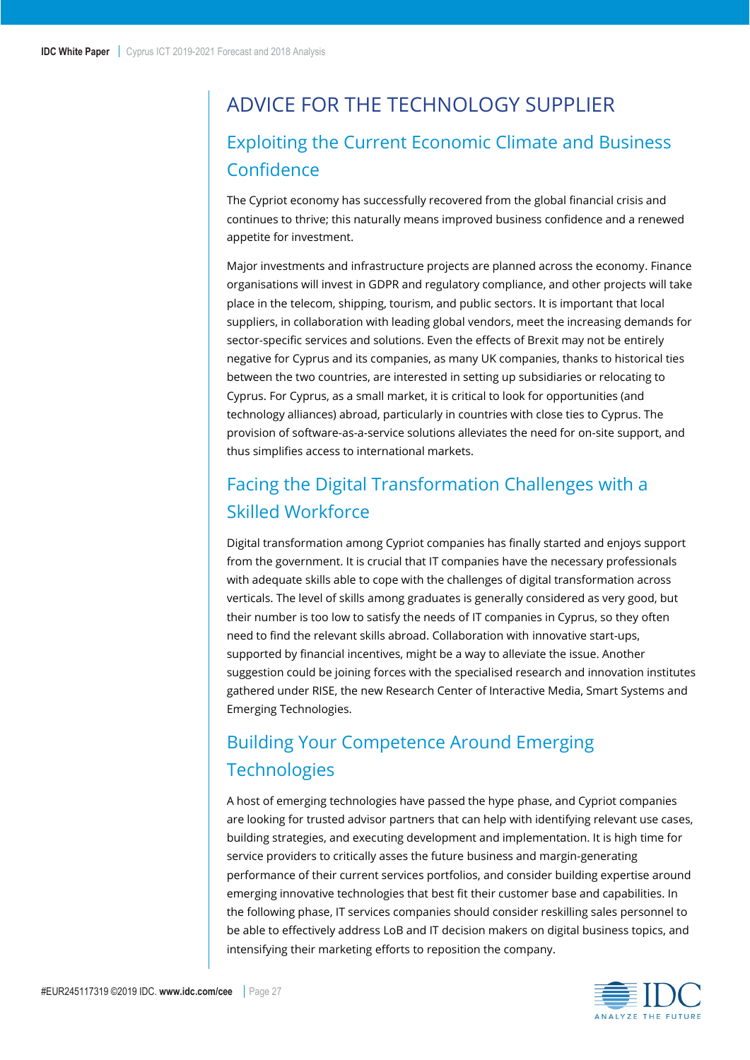# <span id="page-26-0"></span>ADVICE FOR THE TECHNOLOGY SUPPLIER

## <span id="page-26-1"></span>Exploiting the Current Economic Climate and Business Confidence

The Cypriot economy has successfully recovered from the global financial crisis and continues to thrive; this naturally means improved business confidence and a renewed appetite for investment.

Major investments and infrastructure projects are planned across the economy. Finance organisations will invest in GDPR and regulatory compliance, and other projects will take place in the telecom, shipping, tourism, and public sectors. It is important that local suppliers, in collaboration with leading global vendors, meet the increasing demands for sector-specific services and solutions. Even the effects of Brexit may not be entirely negative for Cyprus and its companies, as many UK companies, thanks to historical ties between the two countries, are interested in setting up subsidiaries or relocating to Cyprus. For Cyprus, as a small market, it is critical to look for opportunities (and technology alliances) abroad, particularly in countries with close ties to Cyprus. The provision of software-as-a-service solutions alleviates the need for on-site support, and thus simplifies access to international markets.

## <span id="page-26-2"></span>Facing the Digital Transformation Challenges with a Skilled Workforce

Digital transformation among Cypriot companies has finally started and enjoys support from the government. It is crucial that IT companies have the necessary professionals with adequate skills able to cope with the challenges of digital transformation across verticals. The level of skills among graduates is generally considered as very good, but their number is too low to satisfy the needs of IT companies in Cyprus, so they often need to find the relevant skills abroad. Collaboration with innovative start-ups, supported by financial incentives, might be a way to alleviate the issue. Another suggestion could be joining forces with the specialised research and innovation institutes gathered under RISE, the new Research Center of Interactive Media, Smart Systems and Emerging Technologies.

## <span id="page-26-3"></span>Building Your Competence Around Emerging **Technologies**

A host of emerging technologies have passed the hype phase, and Cypriot companies are looking for trusted advisor partners that can help with identifying relevant use cases, building strategies, and executing development and implementation. It is high time for service providers to critically asses the future business and margin-generating performance of their current services portfolios, and consider building expertise around emerging innovative technologies that best fit their customer base and capabilities. In the following phase, IT services companies should consider reskilling sales personnel to be able to effectively address LoB and IT decision makers on digital business topics, and intensifying their marketing efforts to reposition the company.

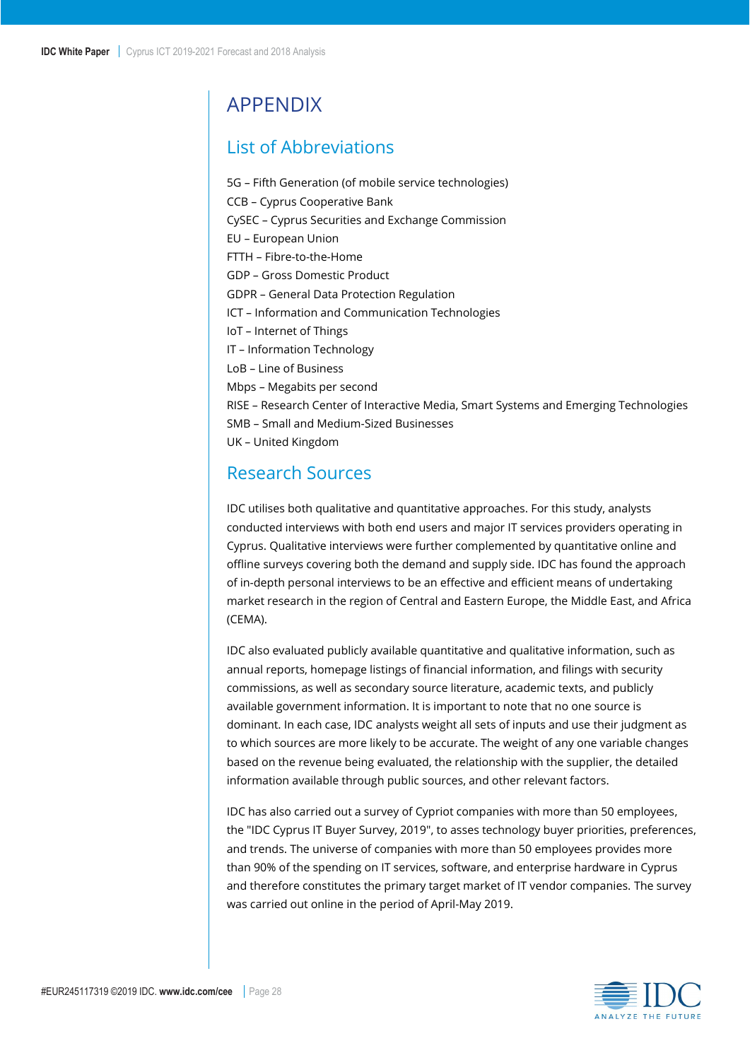## <span id="page-27-0"></span>APPENDIX

## <span id="page-27-1"></span>List of Abbreviations

5G – Fifth Generation (of mobile service technologies) CCB – Cyprus Cooperative Bank CySEC – Cyprus Securities and Exchange Commission EU – European Union FTTH – Fibre-to-the-Home GDP – Gross Domestic Product GDPR – General Data Protection Regulation ICT – Information and Communication Technologies IoT – Internet of Things IT – Information Technology LoB – Line of Business Mbps – Megabits per second RISE – Research Center of Interactive Media, Smart Systems and Emerging Technologies SMB – Small and Medium-Sized Businesses UK – United Kingdom

## <span id="page-27-2"></span>Research Sources

IDC utilises both qualitative and quantitative approaches. For this study, analysts conducted interviews with both end users and major IT services providers operating in Cyprus. Qualitative interviews were further complemented by quantitative online and offline surveys covering both the demand and supply side. IDC has found the approach of in-depth personal interviews to be an effective and efficient means of undertaking market research in the region of Central and Eastern Europe, the Middle East, and Africa (CEMA).

IDC also evaluated publicly available quantitative and qualitative information, such as annual reports, homepage listings of financial information, and filings with security commissions, as well as secondary source literature, academic texts, and publicly available government information. It is important to note that no one source is dominant. In each case, IDC analysts weight all sets of inputs and use their judgment as to which sources are more likely to be accurate. The weight of any one variable changes based on the revenue being evaluated, the relationship with the supplier, the detailed information available through public sources, and other relevant factors.

IDC has also carried out a survey of Cypriot companies with more than 50 employees, the "IDC Cyprus IT Buyer Survey, 2019", to asses technology buyer priorities, preferences, and trends. The universe of companies with more than 50 employees provides more than 90% of the spending on IT services, software, and enterprise hardware in Cyprus and therefore constitutes the primary target market of IT vendor companies. The survey was carried out online in the period of April-May 2019.

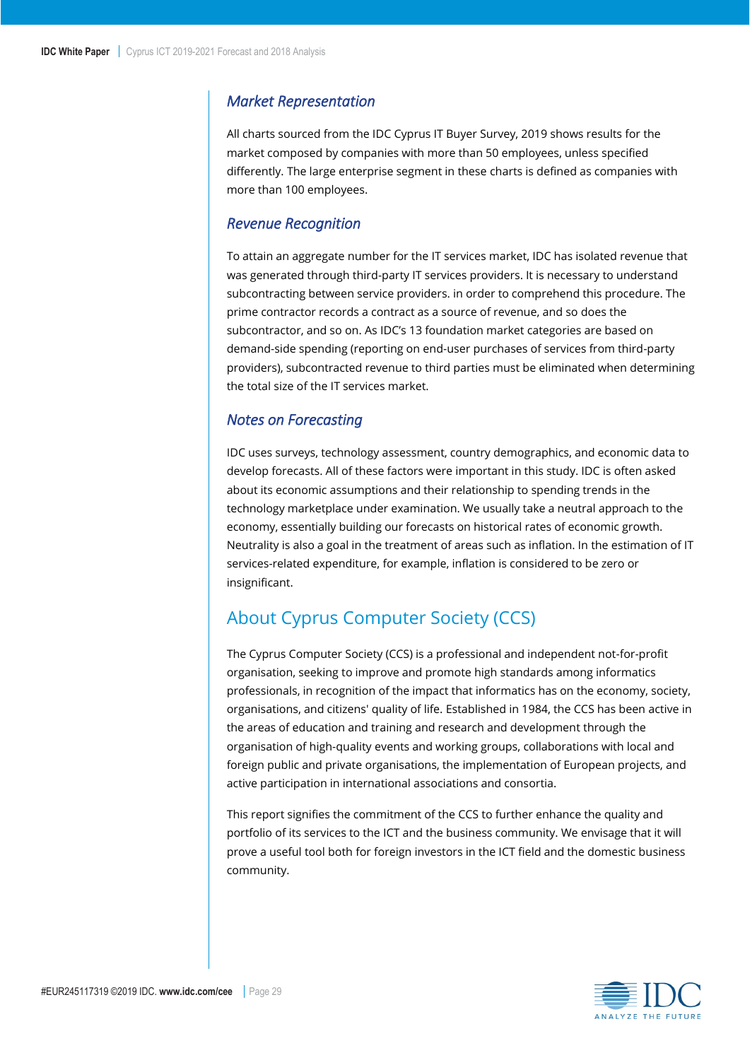#### <span id="page-28-0"></span>*Market Representation*

All charts sourced from the IDC Cyprus IT Buyer Survey, 2019 shows results for the market composed by companies with more than 50 employees, unless specified differently. The large enterprise segment in these charts is defined as companies with more than 100 employees.

#### <span id="page-28-1"></span>*Revenue Recognition*

To attain an aggregate number for the IT services market, IDC has isolated revenue that was generated through third-party IT services providers. It is necessary to understand subcontracting between service providers. in order to comprehend this procedure. The prime contractor records a contract as a source of revenue, and so does the subcontractor, and so on. As IDC's 13 foundation market categories are based on demand-side spending (reporting on end-user purchases of services from third-party providers), subcontracted revenue to third parties must be eliminated when determining the total size of the IT services market.

#### <span id="page-28-2"></span>*Notes on Forecasting*

IDC uses surveys, technology assessment, country demographics, and economic data to develop forecasts. All of these factors were important in this study. IDC is often asked about its economic assumptions and their relationship to spending trends in the technology marketplace under examination. We usually take a neutral approach to the economy, essentially building our forecasts on historical rates of economic growth. Neutrality is also a goal in the treatment of areas such as inflation. In the estimation of IT services-related expenditure, for example, inflation is considered to be zero or insignificant.

## <span id="page-28-3"></span>About Cyprus Computer Society (CCS)

The Cyprus Computer Society (CCS) is a professional and independent not-for-profit organisation, seeking to improve and promote high standards among informatics professionals, in recognition of the impact that informatics has on the economy, society, organisations, and citizens' quality of life. Established in 1984, the CCS has been active in the areas of education and training and research and development through the organisation of high-quality events and working groups, collaborations with local and foreign public and private organisations, the implementation of European projects, and active participation in international associations and consortia.

This report signifies the commitment of the CCS to further enhance the quality and portfolio of its services to the ICT and the business community. We envisage that it will prove a useful tool both for foreign investors in the ICT field and the domestic business community.